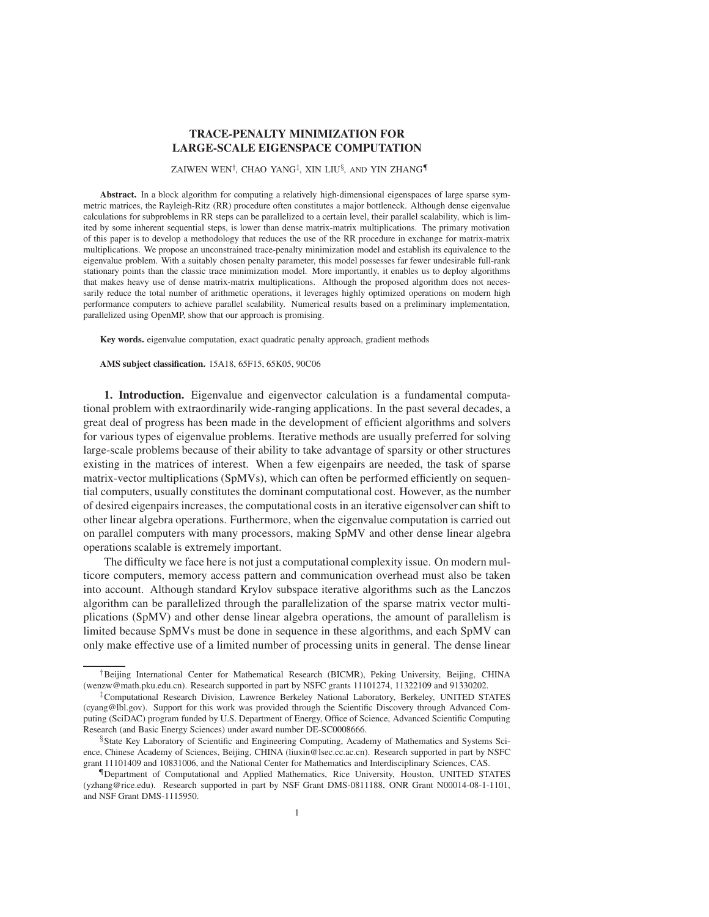## TRACE-PENALTY MINIMIZATION FOR LARGE-SCALE EIGENSPACE COMPUTATION

### ZAIWEN WEN*†*, CHAO YANG*‡*, XIN LIU*§*, AND YIN ZHANG*¶*

Abstract. In a block algorithm for computing a relatively high-dimensional eigenspaces of large sparse symmetric matrices, the Rayleigh-Ritz (RR) procedure often constitutes a major bottleneck. Although dense eigenvalue calculations for subproblems in RR steps can be parallelized to a certain level, their parallel scalability, which is limited by some inherent sequential steps, is lower than dense matrix-matrix multiplications. The primary motivation of this paper is to develop a methodology that reduces the use of the RR procedure in exchange for matrix-matrix multiplications. We propose an unconstrained trace-penalty minimization model and establish its equivalence to the eigenvalue problem. With a suitably chosen penalty parameter, this model possesses far fewer undesirable full-rank stationary points than the classic trace minimization model. More importantly, it enables us to deploy algorithms that makes heavy use of dense matrix-matrix multiplications. Although the proposed algorithm does not necessarily reduce the total number of arithmetic operations, it leverages highly optimized operations on modern high performance computers to achieve parallel scalability. Numerical results based on a preliminary implementation, parallelized using OpenMP, show that our approach is promising.

Key words. eigenvalue computation, exact quadratic penalty approach, gradient methods

AMS subject classification. 15A18, 65F15, 65K05, 90C06

1. Introduction. Eigenvalue and eigenvector calculation is a fundamental computational problem with extraordinarily wide-ranging applications. In the past several decades, a great deal of progress has been made in the development of efficient algorithms and solvers for various types of eigenvalue problems. Iterative methods are usually preferred for solving large-scale problems because of their ability to take advantage of sparsity or other structures existing in the matrices of interest. When a few eigenpairs are needed, the task of sparse matrix-vector multiplications (SpMVs), which can often be performed efficiently on sequential computers, usually constitutes the dominant computational cost. However, as the number of desired eigenpairs increases, the computational costs in an iterative eigensolver can shift to other linear algebra operations. Furthermore, when the eigenvalue computation is carried out on parallel computers with many processors, making SpMV and other dense linear algebra operations scalable is extremely important.

The difficulty we face here is not just a computational complexity issue. On modern multicore computers, memory access pattern and communication overhead must also be taken into account. Although standard Krylov subspace iterative algorithms such as the Lanczos algorithm can be parallelized through the parallelization of the sparse matrix vector multiplications (SpMV) and other dense linear algebra operations, the amount of parallelism is limited because SpMVs must be done in sequence in these algorithms, and each SpMV can only make effective use of a limited number of processing units in general. The dense linear

*<sup>†</sup>*Beijing International Center for Mathematical Research (BICMR), Peking University, Beijing, CHINA (wenzw@math.pku.edu.cn). Research supported in part by NSFC grants 11101274, 11322109 and 91330202.

*<sup>‡</sup>*Computational Research Division, Lawrence Berkeley National Laboratory, Berkeley, UNITED STATES (cyang@lbl.gov). Support for this work was provided through the Scientific Discovery through Advanced Computing (SciDAC) program funded by U.S. Department of Energy, Office of Science, Advanced Scientific Computing Research (and Basic Energy Sciences) under award number DE-SC0008666.

*<sup>§</sup>*State Key Laboratory of Scientific and Engineering Computing, Academy of Mathematics and Systems Science, Chinese Academy of Sciences, Beijing, CHINA (liuxin@lsec.cc.ac.cn). Research supported in part by NSFC grant 11101409 and 10831006, and the National Center for Mathematics and Interdisciplinary Sciences, CAS.

*<sup>¶</sup>*Department of Computational and Applied Mathematics, Rice University, Houston, UNITED STATES (yzhang@rice.edu). Research supported in part by NSF Grant DMS-0811188, ONR Grant N00014-08-1-1101, and NSF Grant DMS-1115950.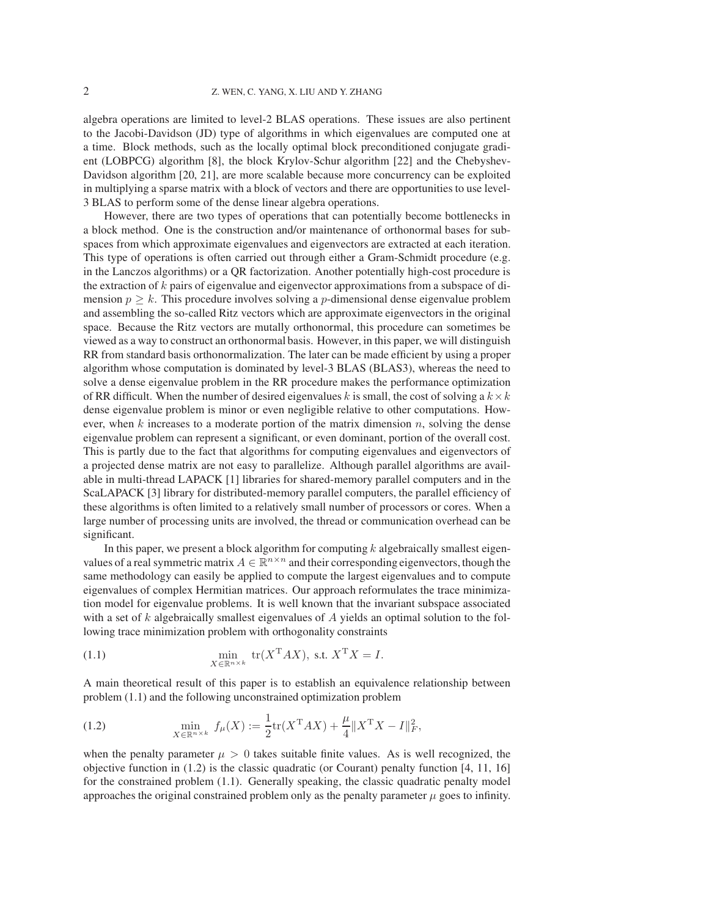algebra operations are limited to level-2 BLAS operations. These issues are also pertinent to the Jacobi-Davidson (JD) type of algorithms in which eigenvalues are computed one at a time. Block methods, such as the locally optimal block preconditioned conjugate gradient (LOBPCG) algorithm [8], the block Krylov-Schur algorithm [22] and the Chebyshev-Davidson algorithm [20, 21], are more scalable because more concurrency can be exploited in multiplying a sparse matrix with a block of vectors and there are opportunities to use level-3 BLAS to perform some of the dense linear algebra operations.

However, there are two types of operations that can potentially become bottlenecks in a block method. One is the construction and/or maintenance of orthonormal bases for subspaces from which approximate eigenvalues and eigenvectors are extracted at each iteration. This type of operations is often carried out through either a Gram-Schmidt procedure (e.g. in the Lanczos algorithms) or a QR factorization. Another potentially high-cost procedure is the extraction of  $k$  pairs of eigenvalue and eigenvector approximations from a subspace of dimension  $p > k$ . This procedure involves solving a *p*-dimensional dense eigenvalue problem and assembling the so-called Ritz vectors which are approximate eigenvectors in the original space. Because the Ritz vectors are mutally orthonormal, this procedure can sometimes be viewed as a way to construct an orthonormal basis. However, in this paper, we will distinguish RR from standard basis orthonormalization. The later can be made efficient by using a proper algorithm whose computation is dominated by level-3 BLAS (BLAS3), whereas the need to solve a dense eigenvalue problem in the RR procedure makes the performance optimization of RR difficult. When the number of desired eigenvalues k is small, the cost of solving a  $k \times k$ dense eigenvalue problem is minor or even negligible relative to other computations. However, when  $k$  increases to a moderate portion of the matrix dimension  $n$ , solving the dense eigenvalue problem can represent a significant, or even dominant, portion of the overall cost. This is partly due to the fact that algorithms for computing eigenvalues and eigenvectors of a projected dense matrix are not easy to parallelize. Although parallel algorithms are available in multi-thread LAPACK [1] libraries for shared-memory parallel computers and in the ScaLAPACK [3] library for distributed-memory parallel computers, the parallel efficiency of these algorithms is often limited to a relatively small number of processors or cores. When a large number of processing units are involved, the thread or communication overhead can be significant.

In this paper, we present a block algorithm for computing  $k$  algebraically smallest eigenvalues of a real symmetric matrix  $A \in \mathbb{R}^{n \times n}$  and their corresponding eigenvectors, though the same methodology can easily be applied to compute the largest eigenvalues and to compute eigenvalues of complex Hermitian matrices. Our approach reformulates the trace minimization model for eigenvalue problems. It is well known that the invariant subspace associated with a set of  $k$  algebraically smallest eigenvalues of  $A$  yields an optimal solution to the following trace minimization problem with orthogonality constraints

(1.1) 
$$
\min_{X \in \mathbb{R}^{n \times k}} \text{tr}(X^{\text{T}} A X), \text{ s.t. } X^{\text{T}} X = I.
$$

A main theoretical result of this paper is to establish an equivalence relationship between problem (1.1) and the following unconstrained optimization problem

(1.2) 
$$
\min_{X \in \mathbb{R}^{n \times k}} f_{\mu}(X) := \frac{1}{2} \text{tr}(X^{\text{T}} A X) + \frac{\mu}{4} ||X^{\text{T}} X - I||_F^2,
$$

when the penalty parameter  $\mu > 0$  takes suitable finite values. As is well recognized, the objective function in (1.2) is the classic quadratic (or Courant) penalty function [4, 11, 16] for the constrained problem (1.1). Generally speaking, the classic quadratic penalty model approaches the original constrained problem only as the penalty parameter  $\mu$  goes to infinity.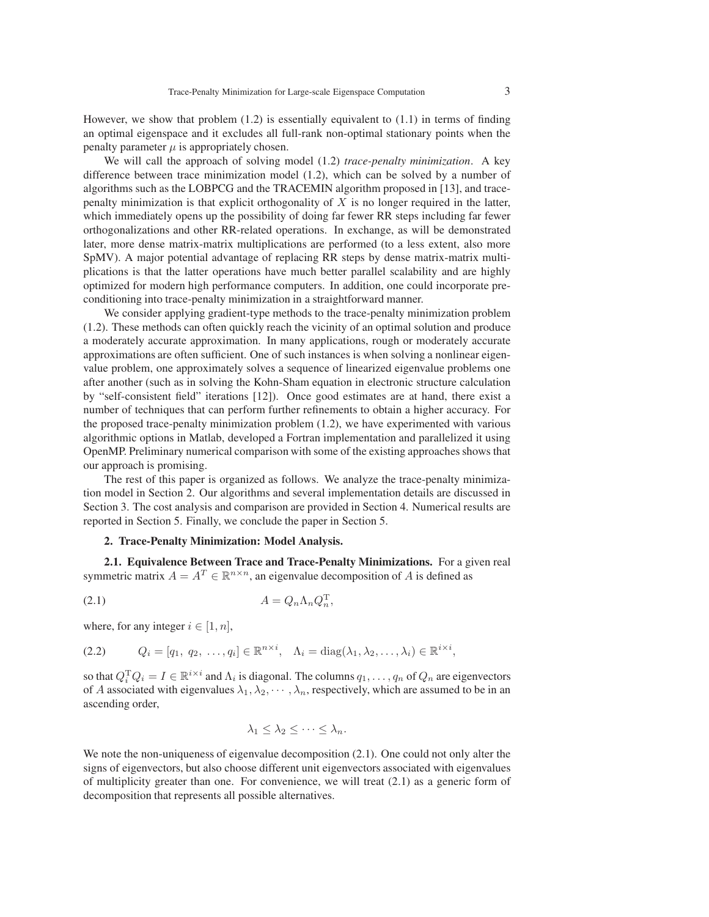However, we show that problem (1.2) is essentially equivalent to (1.1) in terms of finding an optimal eigenspace and it excludes all full-rank non-optimal stationary points when the penalty parameter  $\mu$  is appropriately chosen.

We will call the approach of solving model (1.2) *trace-penalty minimization*. A key difference between trace minimization model (1.2), which can be solved by a number of algorithms such as the LOBPCG and the TRACEMIN algorithm proposed in [13], and tracepenalty minimization is that explicit orthogonality of  $X$  is no longer required in the latter, which immediately opens up the possibility of doing far fewer RR steps including far fewer orthogonalizations and other RR-related operations. In exchange, as will be demonstrated later, more dense matrix-matrix multiplications are performed (to a less extent, also more SpMV). A major potential advantage of replacing RR steps by dense matrix-matrix multiplications is that the latter operations have much better parallel scalability and are highly optimized for modern high performance computers. In addition, one could incorporate preconditioning into trace-penalty minimization in a straightforward manner.

We consider applying gradient-type methods to the trace-penalty minimization problem (1.2). These methods can often quickly reach the vicinity of an optimal solution and produce a moderately accurate approximation. In many applications, rough or moderately accurate approximations are often sufficient. One of such instances is when solving a nonlinear eigenvalue problem, one approximately solves a sequence of linearized eigenvalue problems one after another (such as in solving the Kohn-Sham equation in electronic structure calculation by "self-consistent field" iterations [12]). Once good estimates are at hand, there exist a number of techniques that can perform further refinements to obtain a higher accuracy. For the proposed trace-penalty minimization problem (1.2), we have experimented with various algorithmic options in Matlab, developed a Fortran implementation and parallelized it using OpenMP. Preliminary numerical comparison with some of the existing approaches shows that our approach is promising.

The rest of this paper is organized as follows. We analyze the trace-penalty minimization model in Section 2. Our algorithms and several implementation details are discussed in Section 3. The cost analysis and comparison are provided in Section 4. Numerical results are reported in Section 5. Finally, we conclude the paper in Section 5.

# 2. Trace-Penalty Minimization: Model Analysis.

2.1. Equivalence Between Trace and Trace-Penalty Minimizations. For a given real symmetric matrix  $A = A^T \in \mathbb{R}^{n \times n}$ , an eigenvalue decomposition of A is defined as

$$
(2.1) \t\t A = Q_n \Lambda_n Q_n^{\mathrm{T}},
$$

where, for any integer  $i \in [1, n]$ ,

$$
(2.2) \tQ_i = [q_1, q_2, \ldots, q_i] \in \mathbb{R}^{n \times i}, \quad \Lambda_i = \text{diag}(\lambda_1, \lambda_2, \ldots, \lambda_i) \in \mathbb{R}^{i \times i},
$$

so that  $Q_i^T Q_i = I \in \mathbb{R}^{i \times i}$  and  $\Lambda_i$  is diagonal. The columns  $q_1, \ldots, q_n$  of  $Q_n$  are eigenvectors of A associated with eigenvalues  $\lambda_1, \lambda_2, \cdots, \lambda_n$ , respectively, which are assumed to be in an ascending order,

$$
\lambda_1 \leq \lambda_2 \leq \cdots \leq \lambda_n.
$$

We note the non-uniqueness of eigenvalue decomposition  $(2.1)$ . One could not only alter the signs of eigenvectors, but also choose different unit eigenvectors associated with eigenvalues of multiplicity greater than one. For convenience, we will treat  $(2.1)$  as a generic form of decomposition that represents all possible alternatives.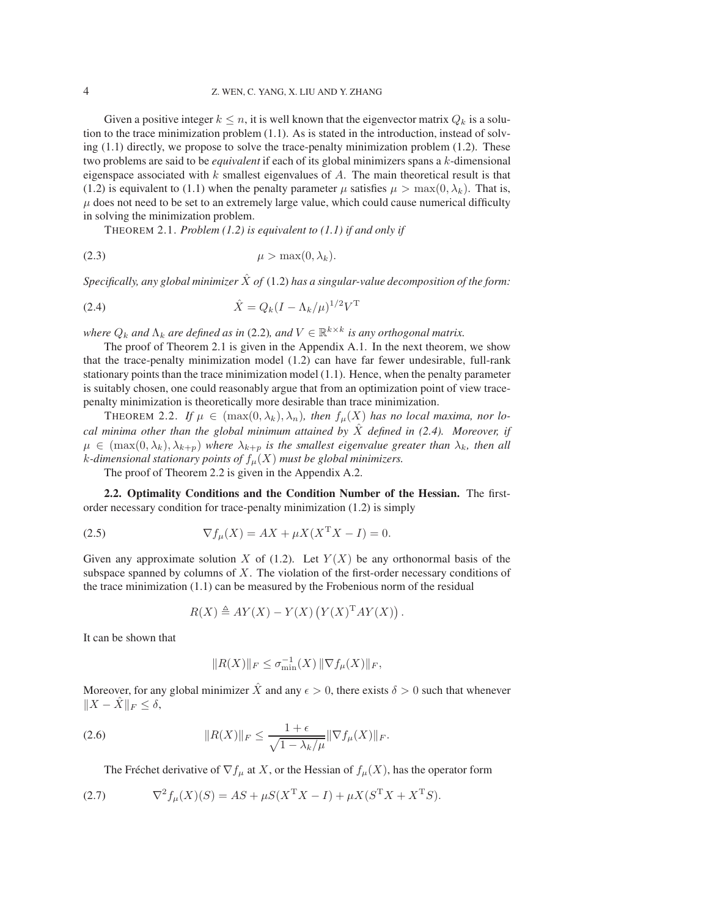Given a positive integer  $k \leq n$ , it is well known that the eigenvector matrix  $Q_k$  is a solution to the trace minimization problem  $(1.1)$ . As is stated in the introduction, instead of solving  $(1.1)$  directly, we propose to solve the trace-penalty minimization problem  $(1.2)$ . These two problems are said to be *equivalent* if each of its global minimizers spans a k-dimensional eigenspace associated with  $k$  smallest eigenvalues of  $A$ . The main theoretical result is that (1.2) is equivalent to (1.1) when the penalty parameter  $\mu$  satisfies  $\mu > \max(0, \lambda_k)$ . That is,  $\mu$  does not need to be set to an extremely large value, which could cause numerical difficulty in solving the minimization problem.

THEOREM 2.1. *Problem (1.2) is equivalent to (1.1) if and only if*

$$
\mu > \max(0, \lambda_k).
$$

*Specifically, any global minimizer*  $\hat{X}$  *of* (1.2) *has a singular-value decomposition of the form:* 

(2.4) 
$$
\hat{X} = Q_k (I - \Lambda_k / \mu)^{1/2} V^{\rm T}
$$

*where*  $Q_k$  *and*  $\Lambda_k$  *are defined as in* (2.2)*, and*  $V \in \mathbb{R}^{k \times k}$  *is any orthogonal matrix.* 

The proof of Theorem 2.1 is given in the Appendix A.1. In the next theorem, we show that the trace-penalty minimization model (1.2) can have far fewer undesirable, full-rank stationary points than the trace minimization model (1.1). Hence, when the penalty parameter is suitably chosen, one could reasonably argue that from an optimization point of view tracepenalty minimization is theoretically more desirable than trace minimization.

THEOREM 2.2. If  $\mu \in (\max(0, \lambda_k), \lambda_n)$ , then  $f_{\mu}(X)$  has no local maxima, nor lo*cal minima other than the global minimum attained by* Xˆ *defined in (2.4). Moreover, if*  $\mu \in (\max(0, \lambda_k), \lambda_{k+p})$  *where*  $\lambda_{k+p}$  *is the smallest eigenvalue greater than*  $\lambda_k$ *, then all k*-dimensional stationary points of  $f_{\mu}(X)$  must be global minimizers.

The proof of Theorem 2.2 is given in the Appendix A.2.

2.2. Optimality Conditions and the Condition Number of the Hessian. The firstorder necessary condition for trace-penalty minimization (1.2) is simply

(2.5) 
$$
\nabla f_{\mu}(X) = AX + \mu X(X^{\mathrm{T}}X - I) = 0.
$$

Given any approximate solution X of (1.2). Let  $Y(X)$  be any orthonormal basis of the subspace spanned by columns of  $X$ . The violation of the first-order necessary conditions of the trace minimization (1.1) can be measured by the Frobenious norm of the residual

$$
R(X) \triangleq AY(X) - Y(X) (Y(X)^{\mathrm{T}}AY(X)).
$$

It can be shown that

$$
||R(X)||_F \le \sigma_{\min}^{-1}(X) ||\nabla f_{\mu}(X)||_F,
$$

Moreover, for any global minimizer  $\hat{X}$  and any  $\epsilon > 0$ , there exists  $\delta > 0$  such that whenever  $||X - \hat{X}||_F \leq \delta,$ 

(2.6) 
$$
||R(X)||_F \leq \frac{1+\epsilon}{\sqrt{1-\lambda_k/\mu}} ||\nabla f_\mu(X)||_F.
$$

The Fréchet derivative of  $\nabla f_\mu$  at X, or the Hessian of  $f_\mu(X)$ , has the operator form

(2.7) 
$$
\nabla^2 f_\mu(X)(S) = AS + \mu S(X^{\mathrm{T}} X - I) + \mu X(S^{\mathrm{T}} X + X^{\mathrm{T}} S).
$$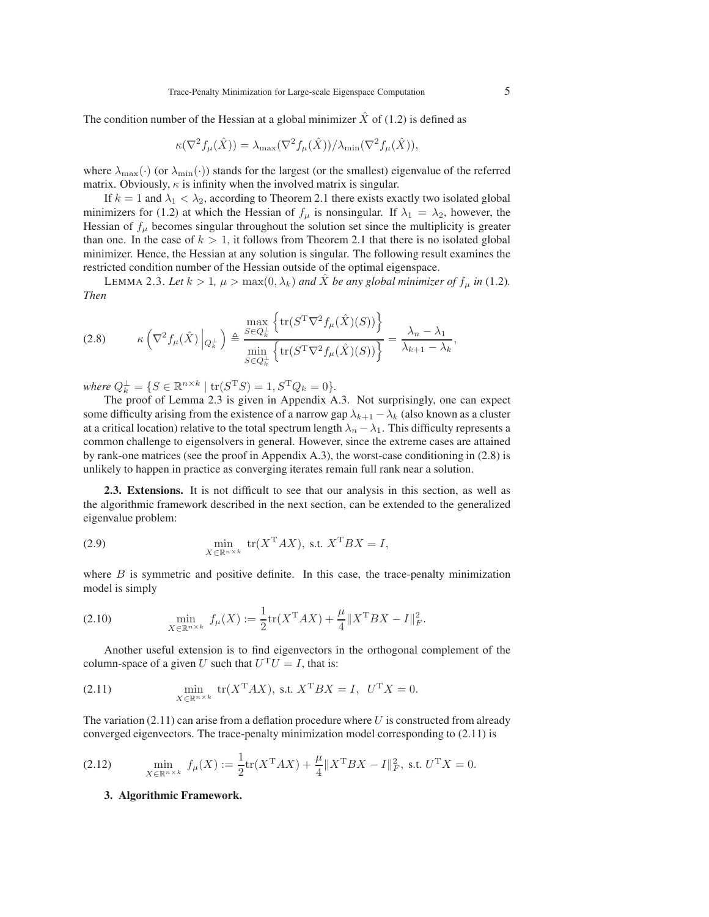The condition number of the Hessian at a global minimizer  $\hat{X}$  of (1.2) is defined as

$$
\kappa(\nabla^2 f_\mu(\hat{X})) = \lambda_{\max}(\nabla^2 f_\mu(\hat{X})) / \lambda_{\min}(\nabla^2 f_\mu(\hat{X})),
$$

where  $\lambda_{\max}(\cdot)$  (or  $\lambda_{\min}(\cdot)$ ) stands for the largest (or the smallest) eigenvalue of the referred matrix. Obviously,  $\kappa$  is infinity when the involved matrix is singular.

If  $k = 1$  and  $\lambda_1 < \lambda_2$ , according to Theorem 2.1 there exists exactly two isolated global minimizers for (1.2) at which the Hessian of  $f_\mu$  is nonsingular. If  $\lambda_1 = \lambda_2$ , however, the Hessian of  $f_{\mu}$  becomes singular throughout the solution set since the multiplicity is greater than one. In the case of  $k > 1$ , it follows from Theorem 2.1 that there is no isolated global minimizer. Hence, the Hessian at any solution is singular. The following result examines the restricted condition number of the Hessian outside of the optimal eigenspace.

LEMMA 2.3. Let  $k > 1$ ,  $\mu > \max(0, \lambda_k)$  and X be any global minimizer of  $f_\mu$  in (1.2). *Then*

$$
(2.8) \qquad \kappa \left( \nabla^2 f_\mu(\hat{X}) \Big|_{Q_k^\perp} \right) \triangleq \frac{\max\limits_{S \in Q_k^\perp} \left\{ \text{tr}(S^T \nabla^2 f_\mu(\hat{X})(S)) \right\}}{\min\limits_{S \in Q_k^\perp} \left\{ \text{tr}(S^T \nabla^2 f_\mu(\hat{X})(S)) \right\}} = \frac{\lambda_n - \lambda_1}{\lambda_{k+1} - \lambda_k},
$$

*where*  $Q_k^{\perp} = \{ S \in \mathbb{R}^{n \times k} \mid \text{tr}(S^{\mathrm{T}}S) = 1, S^{\mathrm{T}}Q_k = 0 \}.$ 

The proof of Lemma 2.3 is given in Appendix A.3. Not surprisingly, one can expect some difficulty arising from the existence of a narrow gap  $\lambda_{k+1} - \lambda_k$  (also known as a cluster at a critical location) relative to the total spectrum length  $\lambda_n - \lambda_1$ . This difficulty represents a common challenge to eigensolvers in general. However, since the extreme cases are attained by rank-one matrices (see the proof in Appendix A.3), the worst-case conditioning in (2.8) is unlikely to happen in practice as converging iterates remain full rank near a solution.

2.3. Extensions. It is not difficult to see that our analysis in this section, as well as the algorithmic framework described in the next section, can be extended to the generalized eigenvalue problem:

(2.9) 
$$
\min_{X \in \mathbb{R}^{n \times k}} \text{tr}(X^{\mathrm{T}} A X), \text{ s.t. } X^{\mathrm{T}} B X = I,
$$

where  $B$  is symmetric and positive definite. In this case, the trace-penalty minimization model is simply

(2.10) 
$$
\min_{X \in \mathbb{R}^{n \times k}} f_{\mu}(X) := \frac{1}{2} \text{tr}(X^{\text{T}} A X) + \frac{\mu}{4} ||X^{\text{T}} B X - I||_F^2.
$$

Another useful extension is to find eigenvectors in the orthogonal complement of the column-space of a given U such that  $U<sup>T</sup>U = I$ , that is:

(2.11) 
$$
\min_{X \in \mathbb{R}^{n \times k}} \text{tr}(X^{\mathrm{T}}AX), \text{ s.t. } X^{\mathrm{T}}BX = I, \quad U^{\mathrm{T}}X = 0.
$$

The variation  $(2.11)$  can arise from a deflation procedure where U is constructed from already converged eigenvectors. The trace-penalty minimization model corresponding to (2.11) is

(2.12) 
$$
\min_{X \in \mathbb{R}^{n \times k}} f_{\mu}(X) := \frac{1}{2} \text{tr}(X^{\text{T}} A X) + \frac{\mu}{4} ||X^{\text{T}} B X - I||_F^2, \text{ s.t. } U^{\text{T}} X = 0.
$$

### 3. Algorithmic Framework.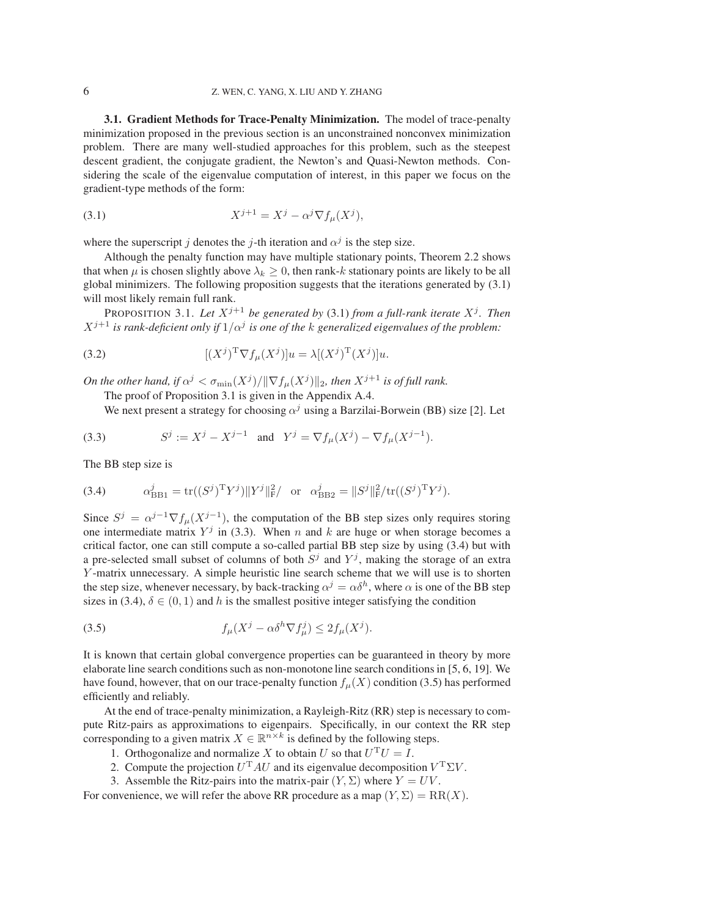3.1. Gradient Methods for Trace-Penalty Minimization. The model of trace-penalty minimization proposed in the previous section is an unconstrained nonconvex minimization problem. There are many well-studied approaches for this problem, such as the steepest descent gradient, the conjugate gradient, the Newton's and Quasi-Newton methods. Considering the scale of the eigenvalue computation of interest, in this paper we focus on the gradient-type methods of the form:

(3.1) Xj+1 = X<sup>j</sup> − αj∇fµ(X<sup>j</sup> ),

where the superscript j denotes the j-th iteration and  $\alpha^{j}$  is the step size.

Although the penalty function may have multiple stationary points, Theorem 2.2 shows that when  $\mu$  is chosen slightly above  $\lambda_k \geq 0$ , then rank-k stationary points are likely to be all global minimizers. The following proposition suggests that the iterations generated by (3.1) will most likely remain full rank.

PROPOSITION 3.1. Let  $X^{j+1}$  be generated by (3.1) from a full-rank iterate  $X^j$ . Then  $X^{j+1}$  *is rank-deficient only if*  $1/\alpha^j$  *is one of the k generalized eigenvalues of the problem:* 

(3.2) 
$$
[(X^j)^{\mathrm{T}} \nabla f_\mu(X^j)]u = \lambda [(X^j)^{\mathrm{T}} (X^j)]u.
$$

*On the other hand, if*  $\alpha^{j} < \sigma_{\min}(X^{j})/||\nabla f_{\mu}(X^{j})||_{2}$ , then  $X^{j+1}$  is of full rank.

The proof of Proposition 3.1 is given in the Appendix A.4.

We next present a strategy for choosing  $\alpha^{j}$  using a Barzilai-Borwein (BB) size [2]. Let

(3.3) 
$$
S^j := X^j - X^{j-1} \text{ and } Y^j = \nabla f_\mu(X^j) - \nabla f_\mu(X^{j-1}).
$$

The BB step size is

(3.4) 
$$
\alpha_{\text{BB1}}^j = \text{tr}((S^j)^T Y^j) \|Y^j\|_{\text{F}}^2 / \text{ or } \alpha_{\text{BB2}}^j = \|S^j\|_{\text{F}}^2 / \text{tr}((S^j)^T Y^j).
$$

Since  $S^j = \alpha^{j-1} \nabla f_\mu(X^{j-1})$ , the computation of the BB step sizes only requires storing one intermediate matrix  $Y^j$  in (3.3). When n and k are huge or when storage becomes a critical factor, one can still compute a so-called partial BB step size by using (3.4) but with a pre-selected small subset of columns of both  $S^j$  and  $Y^j$ , making the storage of an extra Y -matrix unnecessary. A simple heuristic line search scheme that we will use is to shorten the step size, whenever necessary, by back-tracking  $\alpha^{j} = \alpha \delta^{h}$ , where  $\alpha$  is one of the BB step sizes in (3.4),  $\delta \in (0, 1)$  and h is the smallest positive integer satisfying the condition

$$
(3.5) \t f_{\mu}(X^j - \alpha \delta^h \nabla f^j_{\mu}) \le 2 f_{\mu}(X^j).
$$

It is known that certain global convergence properties can be guaranteed in theory by more elaborate line search conditions such as non-monotone line search conditions in [5, 6, 19]. We have found, however, that on our trace-penalty function  $f_u(X)$  condition (3.5) has performed efficiently and reliably.

At the end of trace-penalty minimization, a Rayleigh-Ritz (RR) step is necessary to compute Ritz-pairs as approximations to eigenpairs. Specifically, in our context the RR step corresponding to a given matrix  $X \in \mathbb{R}^{n \times k}$  is defined by the following steps.

- 1. Orthogonalize and normalize X to obtain U so that  $U<sup>T</sup>U = I$ .
- 2. Compute the projection  $U<sup>T</sup> A U$  and its eigenvalue decomposition  $V<sup>T</sup> \Sigma V$ .
- 3. Assemble the Ritz-pairs into the matrix-pair  $(Y, \Sigma)$  where  $Y = UV$ .

For convenience, we will refer the above RR procedure as a map  $(Y, \Sigma) = RR(X)$ .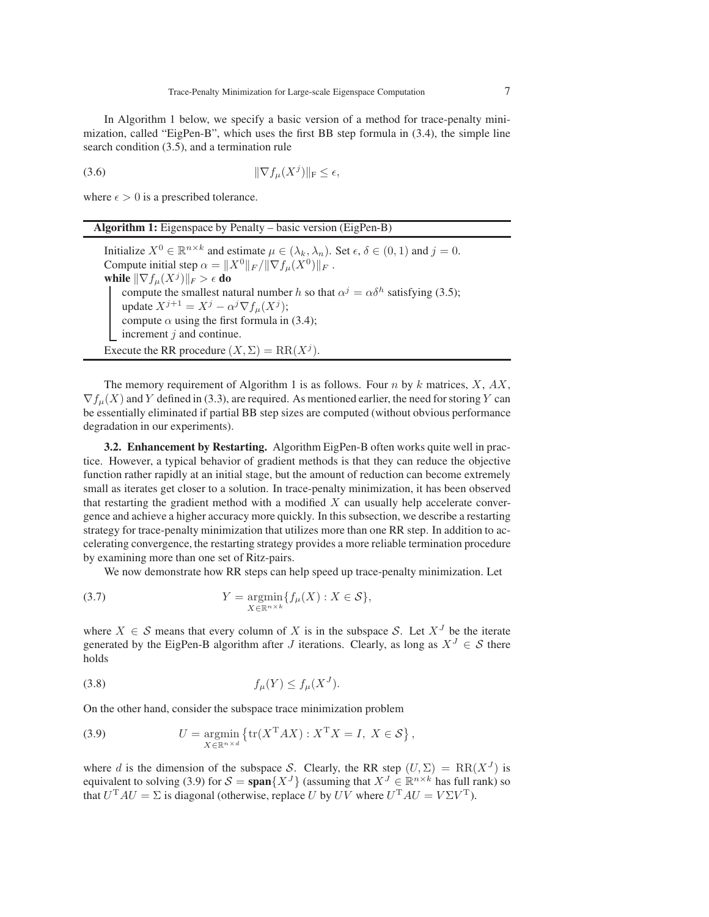In Algorithm 1 below, we specify a basic version of a method for trace-penalty minimization, called "EigPen-B", which uses the first BB step formula in (3.4), the simple line search condition (3.5), and a termination rule

$$
||\nabla f_{\mu}(X^j)||_{\mathcal{F}} \leq \epsilon,
$$

where  $\epsilon > 0$  is a prescribed tolerance.

| <b>Algorithm 1:</b> Eigenspace by Penalty – basic version (EigPen-B) |  |  |  |  |
|----------------------------------------------------------------------|--|--|--|--|
|                                                                      |  |  |  |  |

Initialize  $X^0 \in \mathbb{R}^{n \times k}$  and estimate  $\mu \in (\lambda_k, \lambda_n)$ . Set  $\epsilon, \delta \in (0, 1)$  and  $j = 0$ . Compute initial step  $\alpha = ||X^0||_F / ||\nabla f_u(X^0)||_F$ . while  $\|\nabla f_\mu(X^j)\|_F > \epsilon$  do compute the smallest natural number h so that  $\alpha^{j} = \alpha \delta^{h}$  satisfying (3.5); update  $X^{j+1} = X^j - \alpha^j \nabla f_u(X^j);$ compute  $\alpha$  using the first formula in (3.4); increment  $j$  and continue. Execute the RR procedure  $(X, \Sigma) = RR(X^{j}).$ 

The memory requirement of Algorithm 1 is as follows. Four n by k matrices,  $X$ ,  $AX$ ,  $\nabla f_\mu(X)$  and Y defined in (3.3), are required. As mentioned earlier, the need for storing Y can be essentially eliminated if partial BB step sizes are computed (without obvious performance degradation in our experiments).

3.2. Enhancement by Restarting. Algorithm EigPen-B often works quite well in practice. However, a typical behavior of gradient methods is that they can reduce the objective function rather rapidly at an initial stage, but the amount of reduction can become extremely small as iterates get closer to a solution. In trace-penalty minimization, it has been observed that restarting the gradient method with a modified  $X$  can usually help accelerate convergence and achieve a higher accuracy more quickly. In this subsection, we describe a restarting strategy for trace-penalty minimization that utilizes more than one RR step. In addition to accelerating convergence, the restarting strategy provides a more reliable termination procedure by examining more than one set of Ritz-pairs.

We now demonstrate how RR steps can help speed up trace-penalty minimization. Let

(3.7) 
$$
Y = \underset{X \in \mathbb{R}^{n \times k}}{\operatorname{argmin}} \{ f_{\mu}(X) : X \in \mathcal{S} \},
$$

where  $X \in \mathcal{S}$  means that every column of X is in the subspace S. Let  $X<sup>J</sup>$  be the iterate generated by the EigPen-B algorithm after J iterations. Clearly, as long as  $X^J \in \mathcal{S}$  there holds

$$
(3.8)\qquad \qquad f_{\mu}(Y) \le f_{\mu}(X^{J}).
$$

On the other hand, consider the subspace trace minimization problem

(3.9) 
$$
U = \underset{X \in \mathbb{R}^{n \times d}}{\operatorname{argmin}} \left\{ \text{tr}(X^{\mathrm{T}} A X) : X^{\mathrm{T}} X = I, X \in \mathcal{S} \right\},
$$

where d is the dimension of the subspace S. Clearly, the RR step  $(U, \Sigma) = RR(X^J)$  is equivalent to solving (3.9) for  $S = \text{span}\{X^J\}$  (assuming that  $X^J \in \mathbb{R}^{n \times k}$  has full rank) so that  $U<sup>T</sup> A U = \Sigma$  is diagonal (otherwise, replace U by UV where  $U<sup>T</sup> A U = V \Sigma V<sup>T</sup>$ ).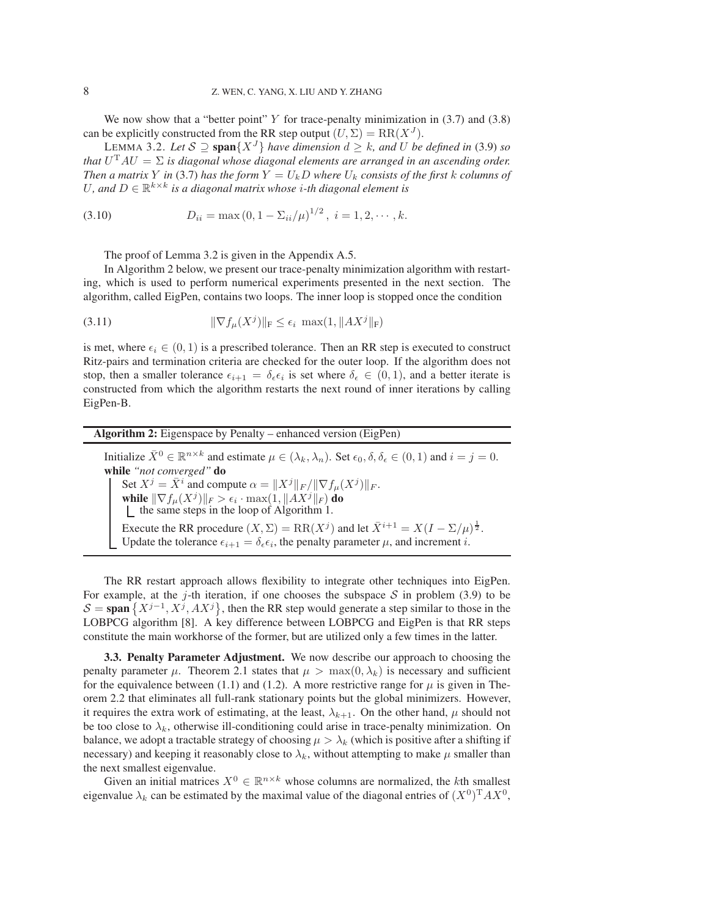We now show that a "better point"  $Y$  for trace-penalty minimization in  $(3.7)$  and  $(3.8)$ can be explicitly constructed from the RR step output  $(U, \Sigma) = RR(X^J)$ .

LEMMA 3.2. Let S ≥  $\text{span}\{X^J\}$  have dimension  $d \ge k$ , and U be defined in (3.9) so *that*  $U^{T}AU = \Sigma$  *is diagonal whose diagonal elements are arranged in an ascending order. Then a matrix* Y *in* (3.7) *has the form*  $Y = U_k D$  *where*  $U_k$  *consists of the first* k *columns of* U, and  $D \in \mathbb{R}^{k \times k}$  *is a diagonal matrix whose i-th diagonal element is* 

(3.10) 
$$
D_{ii} = \max (0, 1 - \Sigma_{ii} / \mu)^{1/2}, i = 1, 2, \cdots, k.
$$

The proof of Lemma 3.2 is given in the Appendix A.5.

In Algorithm 2 below, we present our trace-penalty minimization algorithm with restarting, which is used to perform numerical experiments presented in the next section. The algorithm, called EigPen, contains two loops. The inner loop is stopped once the condition

(3.11) 
$$
\|\nabla f_{\mu}(X^{j})\|_{F} \leq \epsilon_{i} \max(1, \|AX^{j}\|_{F})
$$

is met, where  $\epsilon_i \in (0, 1)$  is a prescribed tolerance. Then an RR step is executed to construct Ritz-pairs and termination criteria are checked for the outer loop. If the algorithm does not stop, then a smaller tolerance  $\epsilon_{i+1} = \delta_{\epsilon} \epsilon_i$  is set where  $\delta_{\epsilon} \in (0, 1)$ , and a better iterate is constructed from which the algorithm restarts the next round of inner iterations by calling EigPen-B.

| Algorithm 2: Eigenspace by Penalty - enhanced version (EigPen) |  |  |  |  |  |
|----------------------------------------------------------------|--|--|--|--|--|
|                                                                |  |  |  |  |  |

Initialize  $\bar{X}^0 \in \mathbb{R}^{n \times k}$  and estimate  $\mu \in (\lambda_k, \lambda_n)$ . Set  $\epsilon_0, \delta, \delta \in (0, 1)$  and  $i = j = 0$ . while *"not converged"* do Set  $X^j = \overline{X}^i$  and compute  $\alpha = ||X^j||_F / ||\nabla f_u(X^j)||_F$ . while  $\|\nabla f_\mu(X^j)\|_F > \epsilon_i \cdot \max(1, \|AX^j\|_F)$  do the same steps in the loop of Algorithm 1. Execute the RR procedure  $(X, \Sigma) = RR(X^j)$  and let  $\overline{X}^{i+1} = X(I - \Sigma/\mu)^{\frac{1}{2}}$ . Update the tolerance  $\epsilon_{i+1} = \delta_{\epsilon} \epsilon_i$ , the penalty parameter  $\mu$ , and increment i.

The RR restart approach allows flexibility to integrate other techniques into EigPen. For example, at the j-th iteration, if one chooses the subspace S in problem (3.9) to be  $S = \text{span} \{ X^{j-1}, X^j, AX^j \}$ , then the RR step would generate a step similar to those in the LOBPCG algorithm [8]. A key difference between LOBPCG and EigPen is that RR steps constitute the main workhorse of the former, but are utilized only a few times in the latter.

3.3. Penalty Parameter Adjustment. We now describe our approach to choosing the penalty parameter  $\mu$ . Theorem 2.1 states that  $\mu > \max(0, \lambda_k)$  is necessary and sufficient for the equivalence between (1.1) and (1.2). A more restrictive range for  $\mu$  is given in Theorem 2.2 that eliminates all full-rank stationary points but the global minimizers. However, it requires the extra work of estimating, at the least,  $\lambda_{k+1}$ . On the other hand,  $\mu$  should not be too close to  $\lambda_k$ , otherwise ill-conditioning could arise in trace-penalty minimization. On balance, we adopt a tractable strategy of choosing  $\mu > \lambda_k$  (which is positive after a shifting if necessary) and keeping it reasonably close to  $\lambda_k$ , without attempting to make  $\mu$  smaller than the next smallest eigenvalue.

Given an initial matrices  $X^0 \in \mathbb{R}^{n \times k}$  whose columns are normalized, the kth smallest eigenvalue  $\lambda_k$  can be estimated by the maximal value of the diagonal entries of  $(X^0)^T A X^0$ ,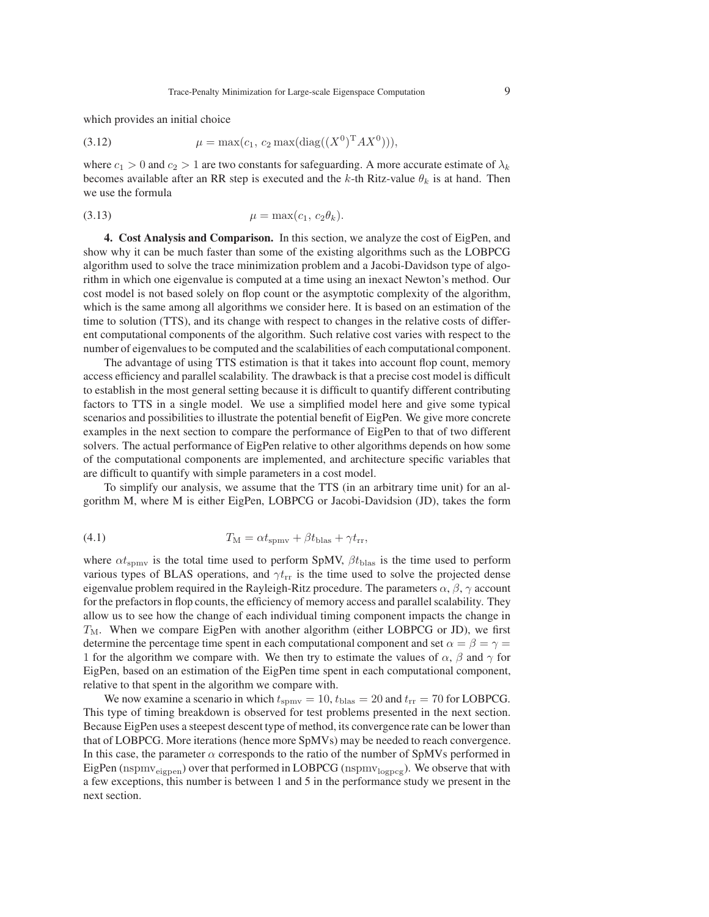(3.12) 
$$
\mu = \max(c_1, c_2 \max(\text{diag}((X^0)^T A X^0))),
$$

where  $c_1 > 0$  and  $c_2 > 1$  are two constants for safeguarding. A more accurate estimate of  $\lambda_k$ becomes available after an RR step is executed and the k-th Ritz-value  $\theta_k$  is at hand. Then we use the formula

$$
\mu = \max(c_1, c_2 \theta_k).
$$

4. Cost Analysis and Comparison. In this section, we analyze the cost of EigPen, and show why it can be much faster than some of the existing algorithms such as the LOBPCG algorithm used to solve the trace minimization problem and a Jacobi-Davidson type of algorithm in which one eigenvalue is computed at a time using an inexact Newton's method. Our cost model is not based solely on flop count or the asymptotic complexity of the algorithm, which is the same among all algorithms we consider here. It is based on an estimation of the time to solution (TTS), and its change with respect to changes in the relative costs of different computational components of the algorithm. Such relative cost varies with respect to the number of eigenvalues to be computed and the scalabilities of each computational component.

The advantage of using TTS estimation is that it takes into account flop count, memory access efficiency and parallel scalability. The drawback is that a precise cost model is difficult to establish in the most general setting because it is difficult to quantify different contributing factors to TTS in a single model. We use a simplified model here and give some typical scenarios and possibilities to illustrate the potential benefit of EigPen. We give more concrete examples in the next section to compare the performance of EigPen to that of two different solvers. The actual performance of EigPen relative to other algorithms depends on how some of the computational components are implemented, and architecture specific variables that are difficult to quantify with simple parameters in a cost model.

To simplify our analysis, we assume that the TTS (in an arbitrary time unit) for an algorithm M, where M is either EigPen, LOBPCG or Jacobi-Davidsion (JD), takes the form

(4.1) 
$$
T_{\rm M} = \alpha t_{\rm spmv} + \beta t_{\rm bias} + \gamma t_{\rm rr},
$$

where  $\alpha t_{\rm{spmv}}$  is the total time used to perform SpMV,  $\beta t_{\rm{blas}}$  is the time used to perform various types of BLAS operations, and  $\gamma t_{rr}$  is the time used to solve the projected dense eigenvalue problem required in the Rayleigh-Ritz procedure. The parameters  $\alpha$ ,  $\beta$ ,  $\gamma$  account for the prefactors in flop counts, the efficiency of memory access and parallel scalability. They allow us to see how the change of each individual timing component impacts the change in  $T_M$ . When we compare EigPen with another algorithm (either LOBPCG or JD), we first determine the percentage time spent in each computational component and set  $\alpha = \beta = \gamma =$ 1 for the algorithm we compare with. We then try to estimate the values of  $\alpha$ ,  $\beta$  and  $\gamma$  for EigPen, based on an estimation of the EigPen time spent in each computational component, relative to that spent in the algorithm we compare with.

We now examine a scenario in which  $t_{\text{spmv}} = 10$ ,  $t_{\text{blas}} = 20$  and  $t_{\text{rr}} = 70$  for LOBPCG. This type of timing breakdown is observed for test problems presented in the next section. Because EigPen uses a steepest descent type of method, its convergence rate can be lower than that of LOBPCG. More iterations (hence more SpMVs) may be needed to reach convergence. In this case, the parameter  $\alpha$  corresponds to the ratio of the number of SpMVs performed in EigPen (nspmv<sub>eigpen</sub>) over that performed in LOBPCG (nspmv<sub>logpcg</sub>). We observe that with a few exceptions, this number is between 1 and 5 in the performance study we present in the next section.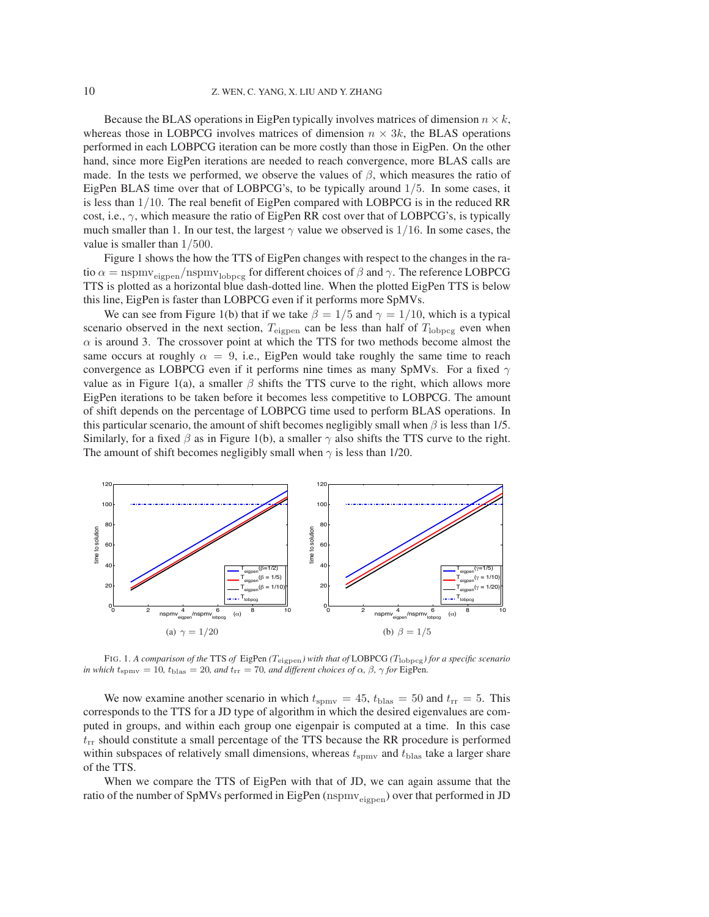Because the BLAS operations in EigPen typically involves matrices of dimension  $n \times k$ , whereas those in LOBPCG involves matrices of dimension  $n \times 3k$ , the BLAS operations performed in each LOBPCG iteration can be more costly than those in EigPen. On the other hand, since more EigPen iterations are needed to reach convergence, more BLAS calls are made. In the tests we performed, we observe the values of  $\beta$ , which measures the ratio of EigPen BLAS time over that of LOBPCG's, to be typically around 1/5. In some cases, it is less than 1/10. The real benefit of EigPen compared with LOBPCG is in the reduced RR cost, i.e.,  $\gamma$ , which measure the ratio of EigPen RR cost over that of LOBPCG's, is typically much smaller than 1. In our test, the largest  $\gamma$  value we observed is 1/16. In some cases, the value is smaller than 1/500.

Figure 1 shows the how the TTS of EigPen changes with respect to the changes in the ratio  $\alpha = \text{nspmv}_{\text{eigpen}}/ \text{nspmv}_{\text{lobpcg}}$  for different choices of  $\beta$  and  $\gamma$ . The reference LOBPCG TTS is plotted as a horizontal blue dash-dotted line. When the plotted EigPen TTS is below this line, EigPen is faster than LOBPCG even if it performs more SpMVs.

We can see from Figure 1(b) that if we take  $\beta = 1/5$  and  $\gamma = 1/10$ , which is a typical scenario observed in the next section,  $T_{\text{eigpen}}$  can be less than half of  $T_{\text{lobpcg}}$  even when  $\alpha$  is around 3. The crossover point at which the TTS for two methods become almost the same occurs at roughly  $\alpha = 9$ , i.e., EigPen would take roughly the same time to reach convergence as LOBPCG even if it performs nine times as many SpMVs. For a fixed  $\gamma$ value as in Figure 1(a), a smaller  $\beta$  shifts the TTS curve to the right, which allows more EigPen iterations to be taken before it becomes less competitive to LOBPCG. The amount of shift depends on the percentage of LOBPCG time used to perform BLAS operations. In this particular scenario, the amount of shift becomes negligibly small when  $\beta$  is less than 1/5. Similarly, for a fixed  $\beta$  as in Figure 1(b), a smaller  $\gamma$  also shifts the TTS curve to the right. The amount of shift becomes negligibly small when  $\gamma$  is less than 1/20.



FIG. 1. *A comparison of the* TTS *of* EigPen *(*Teigpen*) with that of* LOBPCG *(*Tlobpcg*) for a specific scenario in which*  $t_{\text{spmv}} = 10$ ,  $t_{\text{blas}} = 20$ , and  $t_{\text{rr}} = 70$ , and different choices of  $\alpha$ ,  $\beta$ ,  $\gamma$  for EigPen.

We now examine another scenario in which  $t_{\text{spmv}} = 45$ ,  $t_{\text{blas}} = 50$  and  $t_{\text{rr}} = 5$ . This corresponds to the TTS for a JD type of algorithm in which the desired eigenvalues are computed in groups, and within each group one eigenpair is computed at a time. In this case  $t_{rr}$  should constitute a small percentage of the TTS because the RR procedure is performed within subspaces of relatively small dimensions, whereas  $t_{\rm{spmv}}$  and  $t_{\rm{blas}}$  take a larger share of the TTS.

When we compare the TTS of EigPen with that of JD, we can again assume that the ratio of the number of SpMVs performed in EigPen ( $nspmv_{eipnen}$ ) over that performed in JD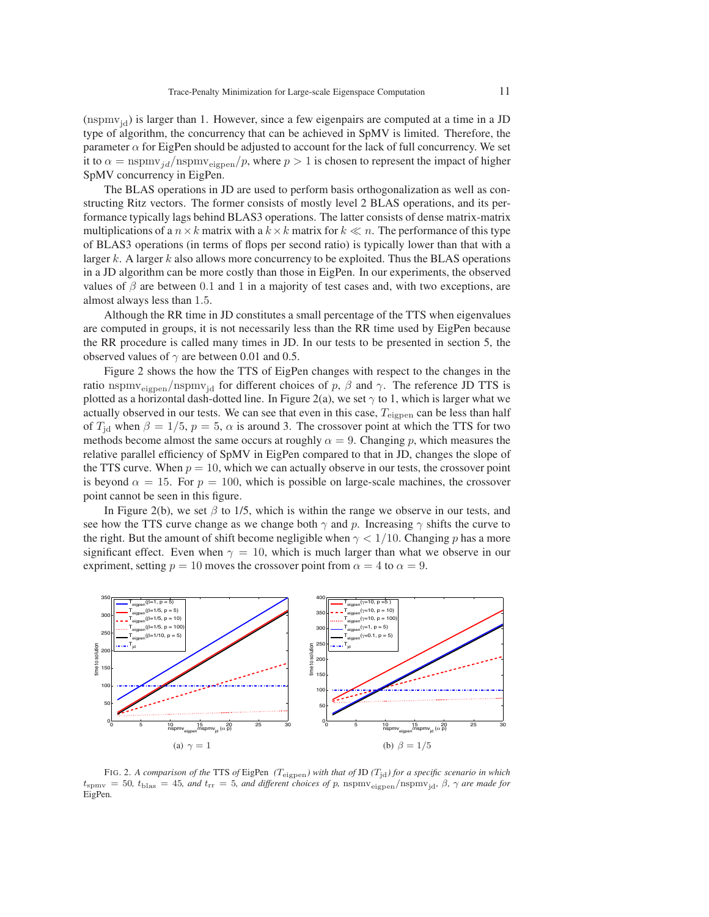(nspm $v_{id}$ ) is larger than 1. However, since a few eigenpairs are computed at a time in a JD type of algorithm, the concurrency that can be achieved in SpMV is limited. Therefore, the parameter  $\alpha$  for EigPen should be adjusted to account for the lack of full concurrency. We set it to  $\alpha = \text{nspmv}_{jd}/\text{nspmv}_{eigpen}/p$ , where  $p > 1$  is chosen to represent the impact of higher SpMV concurrency in EigPen.

The BLAS operations in JD are used to perform basis orthogonalization as well as constructing Ritz vectors. The former consists of mostly level 2 BLAS operations, and its performance typically lags behind BLAS3 operations. The latter consists of dense matrix-matrix multiplications of a  $n \times k$  matrix with a  $k \times k$  matrix for  $k \ll n$ . The performance of this type of BLAS3 operations (in terms of flops per second ratio) is typically lower than that with a larger  $k$ . A larger  $k$  also allows more concurrency to be exploited. Thus the BLAS operations in a JD algorithm can be more costly than those in EigPen. In our experiments, the observed values of  $\beta$  are between 0.1 and 1 in a majority of test cases and, with two exceptions, are almost always less than 1.5.

Although the RR time in JD constitutes a small percentage of the TTS when eigenvalues are computed in groups, it is not necessarily less than the RR time used by EigPen because the RR procedure is called many times in JD. In our tests to be presented in section 5, the observed values of  $\gamma$  are between 0.01 and 0.5.

Figure 2 shows the how the TTS of EigPen changes with respect to the changes in the ratio nspmv<sub>eigpen</sub>/nspmv<sub>jd</sub> for different choices of p,  $\beta$  and  $\gamma$ . The reference JD TTS is plotted as a horizontal dash-dotted line. In Figure 2(a), we set  $\gamma$  to 1, which is larger what we actually observed in our tests. We can see that even in this case,  $T_{\text{eigpen}}$  can be less than half of  $T_{\rm id}$  when  $\beta = 1/5$ ,  $p = 5$ ,  $\alpha$  is around 3. The crossover point at which the TTS for two methods become almost the same occurs at roughly  $\alpha = 9$ . Changing p, which measures the relative parallel efficiency of SpMV in EigPen compared to that in JD, changes the slope of the TTS curve. When  $p = 10$ , which we can actually observe in our tests, the crossover point is beyond  $\alpha = 15$ . For  $p = 100$ , which is possible on large-scale machines, the crossover point cannot be seen in this figure.

In Figure 2(b), we set  $\beta$  to 1/5, which is within the range we observe in our tests, and see how the TTS curve change as we change both  $\gamma$  and p. Increasing  $\gamma$  shifts the curve to the right. But the amount of shift become negligible when  $\gamma < 1/10$ . Changing p has a more significant effect. Even when  $\gamma = 10$ , which is much larger than what we observe in our expriment, setting  $p = 10$  moves the crossover point from  $\alpha = 4$  to  $\alpha = 9$ .



FIG. 2. *A comparison of the* TTS *of* EigPen *(*Teigpen*) with that of* JD *(*Tjd*) for a specific scenario in which*  $t_{\text{spmv}} = 50$ ,  $t_{\text{blas}} = 45$ , and  $t_{\text{rr}} = 5$ , and different choices of p, nspmv<sub>eigpen</sub>/nspmv<sub>id</sub>,  $\beta$ ,  $\gamma$  are made for EigPen*.*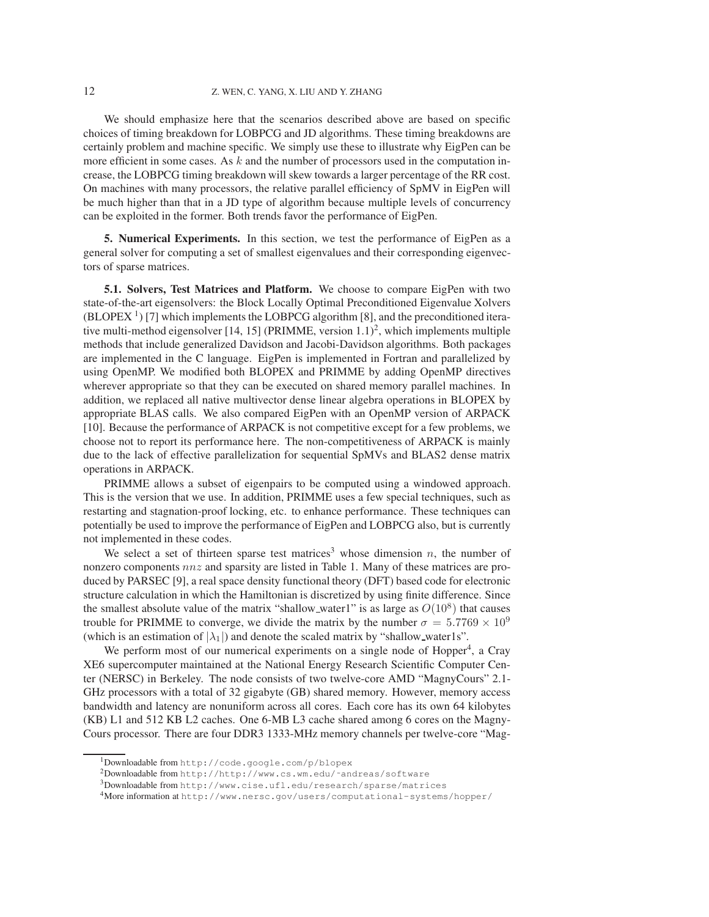We should emphasize here that the scenarios described above are based on specific choices of timing breakdown for LOBPCG and JD algorithms. These timing breakdowns are certainly problem and machine specific. We simply use these to illustrate why EigPen can be more efficient in some cases. As  $k$  and the number of processors used in the computation increase, the LOBPCG timing breakdown will skew towards a larger percentage of the RR cost. On machines with many processors, the relative parallel efficiency of SpMV in EigPen will be much higher than that in a JD type of algorithm because multiple levels of concurrency can be exploited in the former. Both trends favor the performance of EigPen.

5. Numerical Experiments. In this section, we test the performance of EigPen as a general solver for computing a set of smallest eigenvalues and their corresponding eigenvectors of sparse matrices.

5.1. Solvers, Test Matrices and Platform. We choose to compare EigPen with two state-of-the-art eigensolvers: the Block Locally Optimal Preconditioned Eigenvalue Xolvers  $(BLOPEX<sup>1</sup>)$  [7] which implements the LOBPCG algorithm [8], and the preconditioned iterative multi-method eigensolver [14, 15] (PRIMME, version  $1.1$ )<sup>2</sup>, which implements multiple methods that include generalized Davidson and Jacobi-Davidson algorithms. Both packages are implemented in the C language. EigPen is implemented in Fortran and parallelized by using OpenMP. We modified both BLOPEX and PRIMME by adding OpenMP directives wherever appropriate so that they can be executed on shared memory parallel machines. In addition, we replaced all native multivector dense linear algebra operations in BLOPEX by appropriate BLAS calls. We also compared EigPen with an OpenMP version of ARPACK [10]. Because the performance of ARPACK is not competitive except for a few problems, we choose not to report its performance here. The non-competitiveness of ARPACK is mainly due to the lack of effective parallelization for sequential SpMVs and BLAS2 dense matrix operations in ARPACK.

PRIMME allows a subset of eigenpairs to be computed using a windowed approach. This is the version that we use. In addition, PRIMME uses a few special techniques, such as restarting and stagnation-proof locking, etc. to enhance performance. These techniques can potentially be used to improve the performance of EigPen and LOBPCG also, but is currently not implemented in these codes.

We select a set of thirteen sparse test matrices<sup>3</sup> whose dimension n, the number of nonzero components  $nnz$  and sparsity are listed in Table 1. Many of these matrices are produced by PARSEC [9], a real space density functional theory (DFT) based code for electronic structure calculation in which the Hamiltonian is discretized by using finite difference. Since the smallest absolute value of the matrix "shallow water1" is as large as  $O(10^8)$  that causes trouble for PRIMME to converge, we divide the matrix by the number  $\sigma = 5.7769 \times 10^9$ (which is an estimation of  $|\lambda_1|$ ) and denote the scaled matrix by "shallow\_water1s".

We perform most of our numerical experiments on a single node of Hopper<sup>4</sup>, a Cray XE6 supercomputer maintained at the National Energy Research Scientific Computer Center (NERSC) in Berkeley. The node consists of two twelve-core AMD "MagnyCours" 2.1- GHz processors with a total of 32 gigabyte (GB) shared memory. However, memory access bandwidth and latency are nonuniform across all cores. Each core has its own 64 kilobytes (KB) L1 and 512 KB L2 caches. One 6-MB L3 cache shared among 6 cores on the Magny-Cours processor. There are four DDR3 1333-MHz memory channels per twelve-core "Mag-

<sup>1</sup>Downloadable from http://code.google.com/p/blopex

<sup>2</sup>Downloadable from http://http://www.cs.wm.edu/˜andreas/software 3Downloadable from http://www.cise.ufl.edu/research/sparse/matrices

<sup>4</sup>More information at http://www.nersc.gov/users/computational-systems/hopper/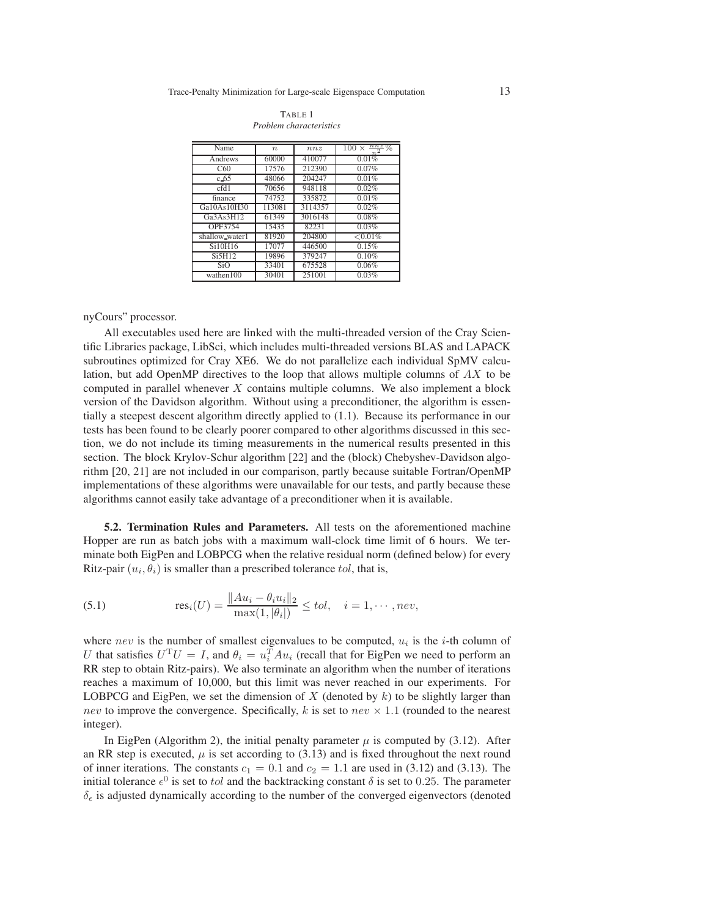TABLE 1 *Problem characteristics*

| Name           | $\boldsymbol{n}$ | nnz     | $\frac{nnz}{n^2}\%$<br>$100 \times$ |
|----------------|------------------|---------|-------------------------------------|
| Andrews        | 60000            | 410077  | 0.01%                               |
| C60            | 17576            | 212390  | 0.07%                               |
| $c_{.65}$      | 48066            | 204247  | 0.01%                               |
| cfd1           | 70656            | 948118  | 0.02%                               |
| finance        | 74752            | 335872  | 0.01%                               |
| Ga10As10H30    | 113081           | 3114357 | 0.02%                               |
| Ga3As3H12      | 61349            | 3016148 | 0.08%                               |
| OPF3754        | 15435            | 82231   | 0.03%                               |
| shallow water1 | 81920            | 204800  | $< 0.01\%$                          |
| Si10H16        | 17077            | 446500  | 0.15%                               |
| Si5H12         | 19896            | 379247  | 0.10%                               |
| SiO            | 33401            | 675528  | 0.06%                               |
| wathen100      | 30401            | 251001  | 0.03%                               |

## nyCours" processor.

All executables used here are linked with the multi-threaded version of the Cray Scientific Libraries package, LibSci, which includes multi-threaded versions BLAS and LAPACK subroutines optimized for Cray XE6. We do not parallelize each individual SpMV calculation, but add OpenMP directives to the loop that allows multiple columns of  $AX$  to be computed in parallel whenever  $X$  contains multiple columns. We also implement a block version of the Davidson algorithm. Without using a preconditioner, the algorithm is essentially a steepest descent algorithm directly applied to (1.1). Because its performance in our tests has been found to be clearly poorer compared to other algorithms discussed in this section, we do not include its timing measurements in the numerical results presented in this section. The block Krylov-Schur algorithm [22] and the (block) Chebyshev-Davidson algorithm [20, 21] are not included in our comparison, partly because suitable Fortran/OpenMP implementations of these algorithms were unavailable for our tests, and partly because these algorithms cannot easily take advantage of a preconditioner when it is available.

5.2. Termination Rules and Parameters. All tests on the aforementioned machine Hopper are run as batch jobs with a maximum wall-clock time limit of 6 hours. We terminate both EigPen and LOBPCG when the relative residual norm (defined below) for every Ritz-pair  $(u_i, \theta_i)$  is smaller than a prescribed tolerance tol, that is,

(5.1) 
$$
\text{res}_{i}(U) = \frac{\|Au_{i} - \theta_{i}u_{i}\|_{2}}{\max(1, |\theta_{i}|)} \leq tol, \quad i = 1, \cdots, nev,
$$

where nev is the number of smallest eigenvalues to be computed,  $u_i$  is the *i*-th column of U that satisfies  $U^T U = I$ , and  $\theta_i = u_i^T A u_i$  (recall that for EigPen we need to perform an RR step to obtain Ritz-pairs). We also terminate an algorithm when the number of iterations reaches a maximum of 10,000, but this limit was never reached in our experiments. For LOBPCG and EigPen, we set the dimension of X (denoted by k) to be slightly larger than nev to improve the convergence. Specifically, k is set to  $nev \times 1.1$  (rounded to the nearest integer).

In EigPen (Algorithm 2), the initial penalty parameter  $\mu$  is computed by (3.12). After an RR step is executed,  $\mu$  is set according to (3.13) and is fixed throughout the next round of inner iterations. The constants  $c_1 = 0.1$  and  $c_2 = 1.1$  are used in (3.12) and (3.13). The initial tolerance  $\epsilon^0$  is set to tol and the backtracking constant  $\delta$  is set to 0.25. The parameter  $\delta_{\epsilon}$  is adjusted dynamically according to the number of the converged eigenvectors (denoted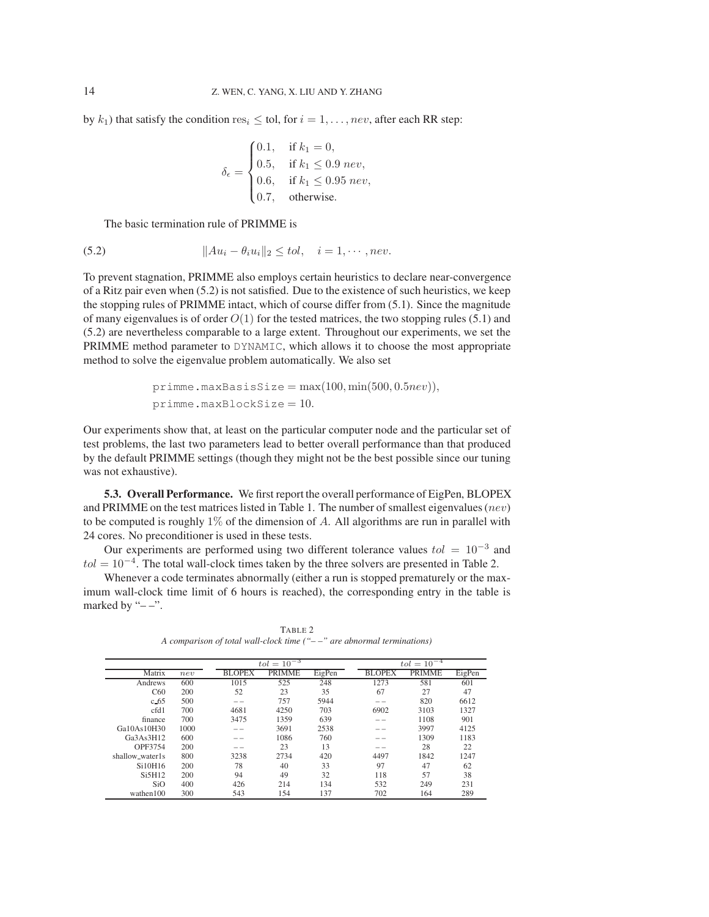by  $k_1$ ) that satisfy the condition res<sub>i</sub>  $\leq$  tol, for  $i = 1, \ldots$ , nev, after each RR step:

δ = 0.1, if k<sup>1</sup> = 0, 0.5, if k<sup>1</sup> ≤ 0.9 nev, 0.6, if k<sup>1</sup> ≤ 0.95 nev, 0.7, otherwise.

The basic termination rule of PRIMME is

(5.2) 
$$
||Au_i - \theta_i u_i||_2 \leq tol, \quad i = 1, \cdots, new.
$$

To prevent stagnation, PRIMME also employs certain heuristics to declare near-convergence of a Ritz pair even when (5.2) is not satisfied. Due to the existence of such heuristics, we keep the stopping rules of PRIMME intact, which of course differ from (5.1). Since the magnitude of many eigenvalues is of order  $O(1)$  for the tested matrices, the two stopping rules (5.1) and (5.2) are nevertheless comparable to a large extent. Throughout our experiments, we set the PRIMME method parameter to DYNAMIC, which allows it to choose the most appropriate method to solve the eigenvalue problem automatically. We also set

$$
\text{prime.maxBasisSize} = \max(100, \min(500, 0.5nev)), \\ \text{prime.maxBlockSize} = 10.
$$

Our experiments show that, at least on the particular computer node and the particular set of test problems, the last two parameters lead to better overall performance than that produced by the default PRIMME settings (though they might not be the best possible since our tuning was not exhaustive).

5.3. Overall Performance. We first report the overall performance of EigPen, BLOPEX and PRIMME on the test matrices listed in Table 1. The number of smallest eigenvalues (nev) to be computed is roughly  $1\%$  of the dimension of A. All algorithms are run in parallel with 24 cores. No preconditioner is used in these tests.

Our experiments are performed using two different tolerance values  $tol = 10^{-3}$  and  $tol = 10^{-4}$ . The total wall-clock times taken by the three solvers are presented in Table 2.

Whenever a code terminates abnormally (either a run is stopped prematurely or the maximum wall-clock time limit of 6 hours is reached), the corresponding entry in the table is marked by " $-$ ".

|                 |      |               | $tol = 10^{-3}$ |        |        | $tol = 10^{-4}$ |        |
|-----------------|------|---------------|-----------------|--------|--------|-----------------|--------|
| Matrix          | nev  | <b>BLOPEX</b> | PRIMME          | EigPen | BLOPEX | <b>PRIMME</b>   | EigPen |
| Andrews         | 600  | 1015          | 525             | 248    | 1273   | 581             | 601    |
| C60             | 200  | 52            | 23              | 35     | 67     | 27              | 47     |
| $c_{.65}$       | 500  |               | 757             | 5944   |        | 820             | 6612   |
| cfd1            | 700  | 4681          | 4250            | 703    | 6902   | 3103            | 1327   |
| finance         | 700  | 3475          | 1359            | 639    |        | 1108            | 901    |
| Ga10As10H30     | 1000 |               | 3691            | 2538   |        | 3997            | 4125   |
| Ga3As3H12       | 600  |               | 1086            | 760    |        | 1309            | 1183   |
| OPF3754         | 200  |               | 23              | 13     |        | 28              | 22     |
| shallow_water1s | 800  | 3238          | 2734            | 420    | 4497   | 1842            | 1247   |
| Si10H16         | 200  | 78            | 40              | 33     | 97     | 47              | 62     |
| Si5H12          | 200  | 94            | 49              | 32     | 118    | 57              | 38     |
| SiO             | 400  | 426           | 214             | 134    | 532    | 249             | 231    |
| wathen100       | 300  | 543           | 154             | 137    | 702    | 164             | 289    |

TABLE 2 *A comparison of total wall-clock time ("– –" are abnormal terminations)*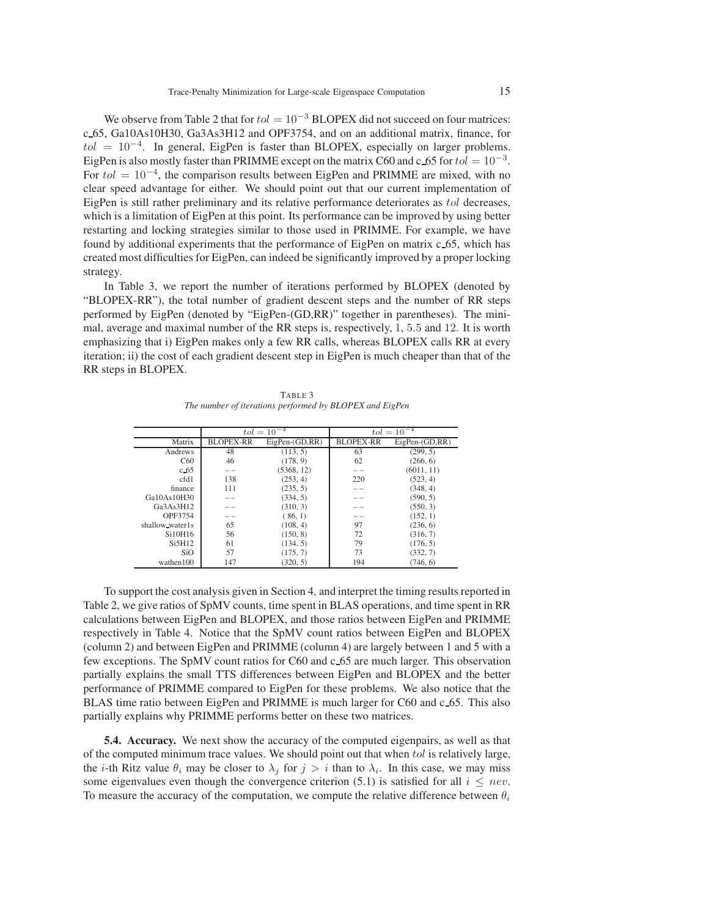We observe from Table 2 that for  $tol = 10^{-3}$  BLOPEX did not succeed on four matrices: c 65, Ga10As10H30, Ga3As3H12 and OPF3754, and on an additional matrix, finance, for  $tol = 10^{-4}$ . In general, EigPen is faster than BLOPEX, especially on larger problems. EigPen is also mostly faster than PRIMME except on the matrix C60 and c 65 for  $tol = 10^{-3}$ . For  $tol = 10^{-4}$ , the comparison results between EigPen and PRIMME are mixed, with no clear speed advantage for either. We should point out that our current implementation of EigPen is still rather preliminary and its relative performance deteriorates as tol decreases, which is a limitation of EigPen at this point. Its performance can be improved by using better restarting and locking strategies similar to those used in PRIMME. For example, we have found by additional experiments that the performance of EigPen on matrix c<sub>-65</sub>, which has created most difficulties for EigPen, can indeed be significantly improved by a proper locking strategy.

In Table 3, we report the number of iterations performed by BLOPEX (denoted by "BLOPEX-RR"), the total number of gradient descent steps and the number of RR steps performed by EigPen (denoted by "EigPen-(GD,RR)" together in parentheses). The minimal, average and maximal number of the RR steps is, respectively, 1, 5.5 and 12. It is worth emphasizing that i) EigPen makes only a few RR calls, whereas BLOPEX calls RR at every iteration; ii) the cost of each gradient descent step in EigPen is much cheaper than that of the RR steps in BLOPEX.

TABLE 3 *The number of iterations performed by BLOPEX and EigPen*

|                 |                  | $tol = 10^{-3}$ |                  | $tol = 10^{-4}$ |
|-----------------|------------------|-----------------|------------------|-----------------|
| Matrix          | <b>BLOPEX-RR</b> | EigPen-(GD,RR)  | <b>BLOPEX-RR</b> | EigPen-(GD,RR)  |
| Andrews         | 48               | (113, 5)        | 63               | (299, 5)        |
| C60             | 46               | (178, 9)        | 62               | (266, 6)        |
| $c_{-65}$       |                  | (5368, 12)      |                  | (6011, 11)      |
| cfd1            | 138              | (253, 4)        | 220              | (523, 4)        |
| finance         | 111              | (235, 5)        |                  | (348, 4)        |
| Ga10As10H30     |                  | (334, 5)        |                  | (590, 5)        |
| Ga3As3H12       |                  | (310, 3)        |                  | (550, 3)        |
| OPF3754         |                  | (86, 1)         |                  | (152, 1)        |
| shallow_water1s | 65               | (108, 4)        | 97               | (236, 6)        |
| Si10H16         | 56               | (150, 8)        | 72               | (316, 7)        |
| Si5H12          | 61               | (134, 5)        | 79               | (176, 5)        |
| SiO             | 57               | (175, 7)        | 73               | (332, 7)        |
| wathen100       | 147              | (320, 5)        | 194              | (746, 6)        |

To support the cost analysis given in Section 4, and interpret the timing results reported in Table 2, we give ratios of SpMV counts, time spent in BLAS operations, and time spent in RR calculations between EigPen and BLOPEX, and those ratios between EigPen and PRIMME respectively in Table 4. Notice that the SpMV count ratios between EigPen and BLOPEX (column 2) and between EigPen and PRIMME (column 4) are largely between 1 and 5 with a few exceptions. The SpMV count ratios for C60 and c<sub>-65</sub> are much larger. This observation partially explains the small TTS differences between EigPen and BLOPEX and the better performance of PRIMME compared to EigPen for these problems. We also notice that the BLAS time ratio between EigPen and PRIMME is much larger for C60 and c<sub>-65</sub>. This also partially explains why PRIMME performs better on these two matrices.

5.4. Accuracy. We next show the accuracy of the computed eigenpairs, as well as that of the computed minimum trace values. We should point out that when  $tol$  is relatively large, the *i*-th Ritz value  $\theta_i$  may be closer to  $\lambda_j$  for  $j>i$  than to  $\lambda_i$ . In this case, we may miss some eigenvalues even though the convergence criterion (5.1) is satisfied for all  $i \leq nev$ . To measure the accuracy of the computation, we compute the relative difference between  $\theta_i$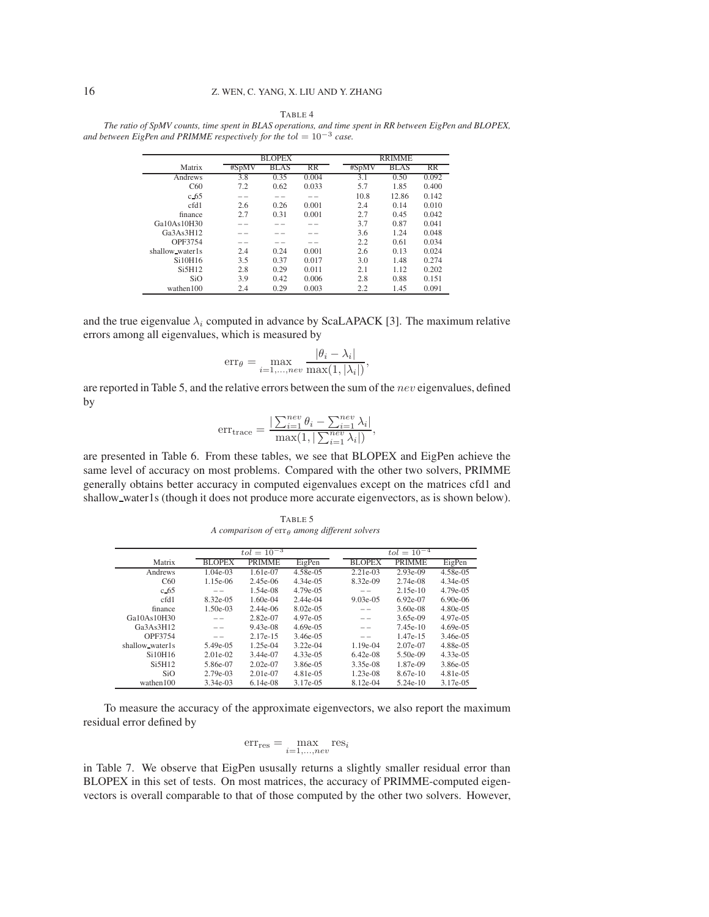TABLE 4 *The ratio of SpMV counts, time spent in BLAS operations, and time spent in RR between EigPen and BLOPEX, and between EigPen and PRIMME respectively for the*  $tol = 10^{-3}$  *case.* 

|                 | <b>BLOPEX</b> |             | <b>RRIMME</b> |       |             |       |
|-----------------|---------------|-------------|---------------|-------|-------------|-------|
| Matrix          | #SpMV         | <b>BLAS</b> | RR            | #SpMV | <b>BLAS</b> | RR    |
| Andrews         | 3.8           | 0.35        | 0.004         | 3.1   | 0.50        | 0.092 |
| C60             | 7.2           | 0.62        | 0.033         | 5.7   | 1.85        | 0.400 |
| $c_{-65}$       |               |             |               | 10.8  | 12.86       | 0.142 |
| cfd1            | 2.6           | 0.26        | 0.001         | 2.4   | 0.14        | 0.010 |
| finance         | 2.7           | 0.31        | 0.001         | 2.7   | 0.45        | 0.042 |
| Ga10As10H30     |               |             |               | 3.7   | 0.87        | 0.041 |
| Ga3As3H12       |               |             |               | 3.6   | 1.24        | 0.048 |
| OPF3754         |               |             |               | 2.2   | 0.61        | 0.034 |
| shallow_water1s | 2.4           | 0.24        | 0.001         | 2.6   | 0.13        | 0.024 |
| Si10H16         | 3.5           | 0.37        | 0.017         | 3.0   | 1.48        | 0.274 |
| Si5H12          | 2.8           | 0.29        | 0.011         | 2.1   | 1.12        | 0.202 |
| SiO             | 3.9           | 0.42        | 0.006         | 2.8   | 0.88        | 0.151 |
| wathen 100      | 2.4           | 0.29        | 0.003         | 2.2   | 1.45        | 0.091 |

and the true eigenvalue  $\lambda_i$  computed in advance by ScaLAPACK [3]. The maximum relative errors among all eigenvalues, which is measured by

$$
err_{\theta} = \max_{i=1,\dots,nev} \frac{|\theta_i - \lambda_i|}{\max(1, |\lambda_i|)},
$$

are reported in Table 5, and the relative errors between the sum of the nev eigenvalues, defined by

$$
err_{\text{trace}} = \frac{\left| \sum_{i=1}^{nev} \theta_i - \sum_{i=1}^{nev} \lambda_i \right|}{\max(1, \left| \sum_{i=1}^{nev} \lambda_i \right|)},
$$

are presented in Table 6. From these tables, we see that BLOPEX and EigPen achieve the same level of accuracy on most problems. Compared with the other two solvers, PRIMME generally obtains better accuracy in computed eigenvalues except on the matrices cfd1 and shallow water1s (though it does not produce more accurate eigenvectors, as is shown below).

TABLE 5 *A comparison of* err<sub>θ</sub> *among different solvers* 

|                    |               | $tol = 10^{-3}$ |             |               |            | $tol = 10^{-4}$ |             |
|--------------------|---------------|-----------------|-------------|---------------|------------|-----------------|-------------|
| Matrix             | <b>BLOPEX</b> | <b>PRIMME</b>   | EigPen      | <b>BLOPEX</b> |            | <b>PRIMME</b>   | EigPen      |
| Andrews            | $1.04e-03$    | 1.61e-07        | 4.58e-05    | $2.21e-03$    |            | $2.93e-09$      | 4.58e-05    |
| C60                | 1.15e-06      | $2.45e-06$      | $4.34e-0.5$ | 8.32e-09      |            | $2.74e-08$      | $4.34e-0.5$ |
| $c_{\text{-}}65$   |               | $1.54e-08$      | 4.79e-05    |               |            | $2.15e-10$      | 4.79e-05    |
| cfd1               | 8.32e-05      | $1.60e-04$      | $2.44e-04$  | $9.03e-0.5$   |            | $6.92e-07$      | $6.90e-06$  |
| finance            | $1.50e-03$    | $2.44e-06$      | 8.02e-05    |               |            | $3.60e-08$      | $4.80e-0.5$ |
| Ga10As10H30        |               | 2.82e-07        | 4.97e-05    |               |            | $3.65e-09$      | 4.97e-05    |
| Ga3As3H12          |               | $9.43e-08$      | $4.69e-0.5$ |               |            | $7.45e-10$      | $4.69e-0.5$ |
| OPF3754            |               | 2.17e-15        | 3.46e-05    |               | - -        | $1.47e-15$      | 3.46e-05    |
| shallow_water1s    | 5.49e-05      | $1.25e-04$      | $3.22e-04$  |               | 1.19e-04   | $2.07e-07$      | 4.88e-05    |
| Si10H16            | $2.01e-02$    | 3.44e-07        | $4.33e-0.5$ | $6.42e-08$    |            | $5.50e-09$      | $4.33e-0.5$ |
| Si <sub>5H12</sub> | 5.86e-07      | $2.02e-07$      | 3.86e-05    | 3.35e-08      |            | 1.87e-09        | 3.86e-05    |
| SiO                | 2.79e-03      | $2.01e-07$      | 4.81e-05    |               | $1.23e-08$ | 8.67e-10        | 4.81e-05    |
| wathen100          | 3.34e-03      | $6.14e-08$      | 3.17e-05    |               | 8.12e-04   | $5.24e-10$      | 3.17e-05    |

To measure the accuracy of the approximate eigenvectors, we also report the maximum residual error defined by

$$
errres = \max_{i=1,...,nev} res_i
$$

in Table 7. We observe that EigPen ususally returns a slightly smaller residual error than BLOPEX in this set of tests. On most matrices, the accuracy of PRIMME-computed eigenvectors is overall comparable to that of those computed by the other two solvers. However,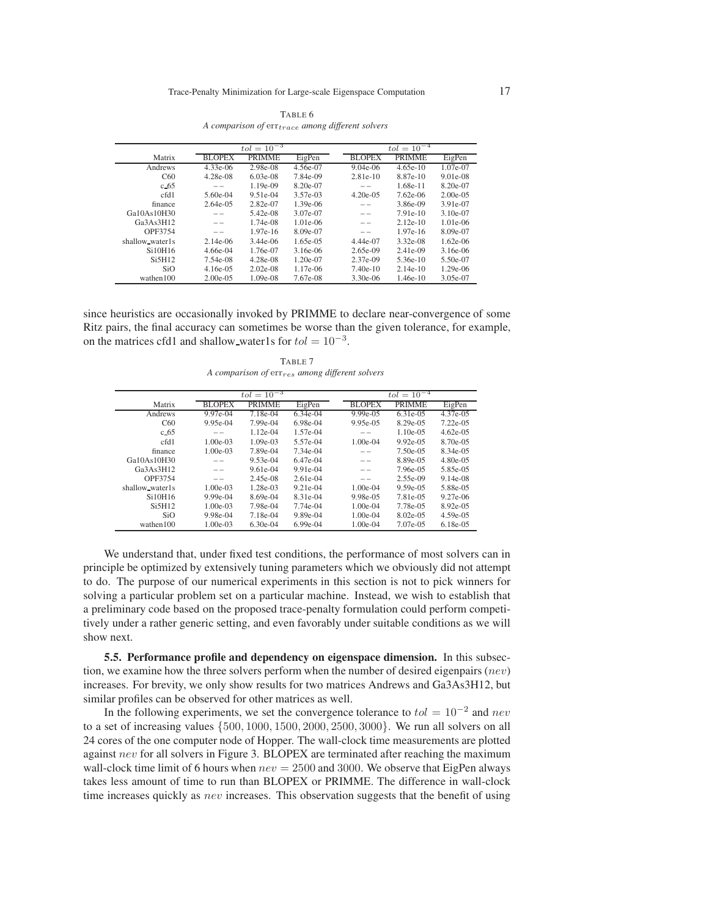|                    |               | $tol = 10^{-3}$ |            |              | $tol = 10^{-4}$ |             |
|--------------------|---------------|-----------------|------------|--------------|-----------------|-------------|
| Matrix             | <b>BLOPEX</b> | <b>PRIMME</b>   | EigPen     | <b>BLOPE</b> | PRIMME          | EigPen      |
| Andrews            | $4.33e-06$    | $2.98e-08$      | 4.56e-07   | $9.04e-06$   | $4.65e-10$      | $1.07e-07$  |
| C60                | 4.28e-08      | $6.03e-08$      | 7.84e-09   | $2.81e-10$   | 8.87e-10        | $9.01e-08$  |
| $c_{.65}$          |               | 1.19e-09        | 8.20e-07   |              | 1.68e-11        | 8.20e-07    |
| cfd1               | $5.60e-04$    | $9.51e-04$      | 3.57e-03   | $4.20e-0.5$  | $7.62e-06$      | $2.00e-0.5$ |
| finance            | $2.64e-0.5$   | 2.82e-07        | $1.39e-06$ |              | 3.86e-09        | 3.91e-07    |
| Ga10As10H30        |               | $5.42e-08$      | 3.07e-07   |              | $7.91e-10$      | 3.10e-07    |
| Ga3As3H12          |               | $1.74e-08$      | $1.01e-06$ |              | $2.12e-10$      | $1.01e-06$  |
| OPF3754            |               | $1.97e-16$      | 8.09e-07   |              | $1.97e-16$      | 8.09e-07    |
| shallow_water1s    | $2.14e-06$    | $3.44e-06$      | 1.65e-05   | $4.44e-07$   | $3.32e-08$      | $1.62e-06$  |
| Si10H16            | $4.66e-04$    | 1.76e-07        | $3.16e-06$ | 2.65e-09     | 2.41e-09        | $3.16e-06$  |
| Si <sub>5H12</sub> | 7.54e-08      | $4.28e-08$      | $1.20e-07$ | 2.37e-09     | 5.36e-10        | 5.50e-07    |
| SiO                | $4.16e-05$    | $2.02e-08$      | 1.17e-06   | $7.40e-10$   | $2.14e-10$      | 1.29e-06    |
| wathen100          | $2.00e-0.5$   | 1.09e-08        | 7.67e-08   | 3.30e-06     | $1.46e-10$      | 3.05e-07    |

TABLE 6 *A comparison of* errtrace *among different solvers*

since heuristics are occasionally invoked by PRIMME to declare near-convergence of some Ritz pairs, the final accuracy can sometimes be worse than the given tolerance, for example, on the matrices cfd1 and shallow\_water1s for  $tol = 10^{-3}$ .

TABLE 7 *A comparison of* errres *among different solvers*

|                 |               | $tol = \frac{}{10^{-3}}$ |            |               | $tol = 10^{-4}$ |             |
|-----------------|---------------|--------------------------|------------|---------------|-----------------|-------------|
| Matrix          | <b>BLOPEX</b> | <b>PRIMME</b>            | EigPen     | <b>BLOPEX</b> | <b>PRIMME</b>   | EigPen      |
| Andrews         | $9.97e-04$    | 7.18e-04                 | $6.34e-04$ | $9.99e-0.5$   | $6.31e-0.5$     | 4.37e-05    |
| C60             | $9.95e-04$    | 7.99e-04                 | 6.98e-04   | 9.95e-05      | 8.29e-05        | $7.22e-0.5$ |
| $c_{.65}$       |               | $1.12e-04$               | $1.57e-04$ |               | $1.10e-0.5$     | $4.62e-0.5$ |
| cfd1            | $1.00e-03$    | $1.09e-03$               | 5.57e-04   | $1.00e-04$    | $9.92e-0.5$     | 8.70e-05    |
| finance         | $1.00e-03$    | 7.89e-04                 | 7.34e-04   |               | 7.50e-05        | 8.34e-05    |
| Ga10As10H30     |               | $9.53e-04$               | 6.47e-04   |               | 8.89e-05        | 4.80e-05    |
| Ga3As3H12       | --            | $9.61e-04$               | $9.91e-04$ | - -           | 7.96e-05        | 5.85e-05    |
| OPF3754         |               | 2.45e-08                 | $2.61e-04$ |               | 2.55e-09        | $9.14e-08$  |
| shallow_water1s | $1.00e-03$    | 1.28e-03                 | $9.21e-04$ | $1.00e-04$    | $9.59e-0.5$     | 5.88e-05    |
| Si10H16         | $9.99e-04$    | 8.69e-04                 | 8.31e-04   | 9.98e-05      | 7.81e-05        | $9.27e-06$  |
| Si5H12          | 1.00e-03      | 7.98e-04                 | 7.74e-04   | $1.00e-04$    | 7.78e-05        | 8.92e-05    |
| SiO             | 9.98e-04      | 7.18e-04                 | 9.89e-04   | $1.00e-04$    | 8.02e-05        | 4.59e-05    |
| wathen100       | 1.00e-03      | $6.30e-04$               | $6.99e-04$ | 1.00e-04      | 7.07e-05        | $6.18e-0.5$ |

We understand that, under fixed test conditions, the performance of most solvers can in principle be optimized by extensively tuning parameters which we obviously did not attempt to do. The purpose of our numerical experiments in this section is not to pick winners for solving a particular problem set on a particular machine. Instead, we wish to establish that a preliminary code based on the proposed trace-penalty formulation could perform competitively under a rather generic setting, and even favorably under suitable conditions as we will show next.

5.5. Performance profile and dependency on eigenspace dimension. In this subsection, we examine how the three solvers perform when the number of desired eigenpairs ( $nev$ ) increases. For brevity, we only show results for two matrices Andrews and Ga3As3H12, but similar profiles can be observed for other matrices as well.

In the following experiments, we set the convergence tolerance to  $tol = 10^{-2}$  and  $nev$ to a set of increasing values {500, 1000, 1500, 2000, 2500, 3000}. We run all solvers on all 24 cores of the one computer node of Hopper. The wall-clock time measurements are plotted against nev for all solvers in Figure 3. BLOPEX are terminated after reaching the maximum wall-clock time limit of 6 hours when  $nev = 2500$  and 3000. We observe that EigPen always takes less amount of time to run than BLOPEX or PRIMME. The difference in wall-clock time increases quickly as nev increases. This observation suggests that the benefit of using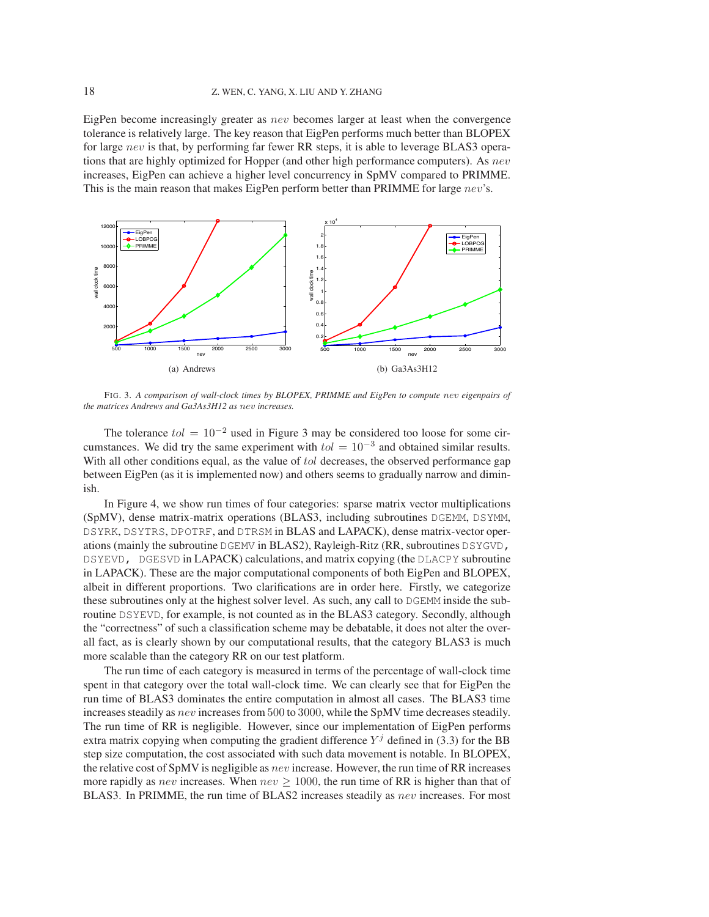EigPen become increasingly greater as nev becomes larger at least when the convergence tolerance is relatively large. The key reason that EigPen performs much better than BLOPEX for large nev is that, by performing far fewer RR steps, it is able to leverage BLAS3 operations that are highly optimized for Hopper (and other high performance computers). As nev increases, EigPen can achieve a higher level concurrency in SpMV compared to PRIMME. This is the main reason that makes EigPen perform better than PRIMME for large nev's.



FIG. 3. *A comparison of wall-clock times by BLOPEX, PRIMME and EigPen to compute* nev *eigenpairs of the matrices Andrews and Ga3As3H12 as* nev *increases.*

The tolerance  $tol = 10^{-2}$  used in Figure 3 may be considered too loose for some circumstances. We did try the same experiment with  $tol = 10^{-3}$  and obtained similar results. With all other conditions equal, as the value of *tol* decreases, the observed performance gap between EigPen (as it is implemented now) and others seems to gradually narrow and diminish.

In Figure 4, we show run times of four categories: sparse matrix vector multiplications (SpMV), dense matrix-matrix operations (BLAS3, including subroutines DGEMM, DSYMM, DSYRK, DSYTRS, DPOTRF, and DTRSM in BLAS and LAPACK), dense matrix-vector operations (mainly the subroutine DGEMV in BLAS2), Rayleigh-Ritz (RR, subroutines DSYGVD, DSYEVD, DGESVD in LAPACK) calculations, and matrix copying (the DLACPY subroutine in LAPACK). These are the major computational components of both EigPen and BLOPEX, albeit in different proportions. Two clarifications are in order here. Firstly, we categorize these subroutines only at the highest solver level. As such, any call to DGEMM inside the subroutine DSYEVD, for example, is not counted as in the BLAS3 category. Secondly, although the "correctness" of such a classification scheme may be debatable, it does not alter the overall fact, as is clearly shown by our computational results, that the category BLAS3 is much more scalable than the category RR on our test platform.

The run time of each category is measured in terms of the percentage of wall-clock time spent in that category over the total wall-clock time. We can clearly see that for EigPen the run time of BLAS3 dominates the entire computation in almost all cases. The BLAS3 time increases steadily as nev increases from 500 to 3000, while the SpMV time decreases steadily. The run time of RR is negligible. However, since our implementation of EigPen performs extra matrix copying when computing the gradient difference  $Y^j$  defined in (3.3) for the BB step size computation, the cost associated with such data movement is notable. In BLOPEX, the relative cost of SpMV is negligible as nev increase. However, the run time of RR increases more rapidly as nev increases. When  $nev \geq 1000$ , the run time of RR is higher than that of BLAS3. In PRIMME, the run time of BLAS2 increases steadily as nev increases. For most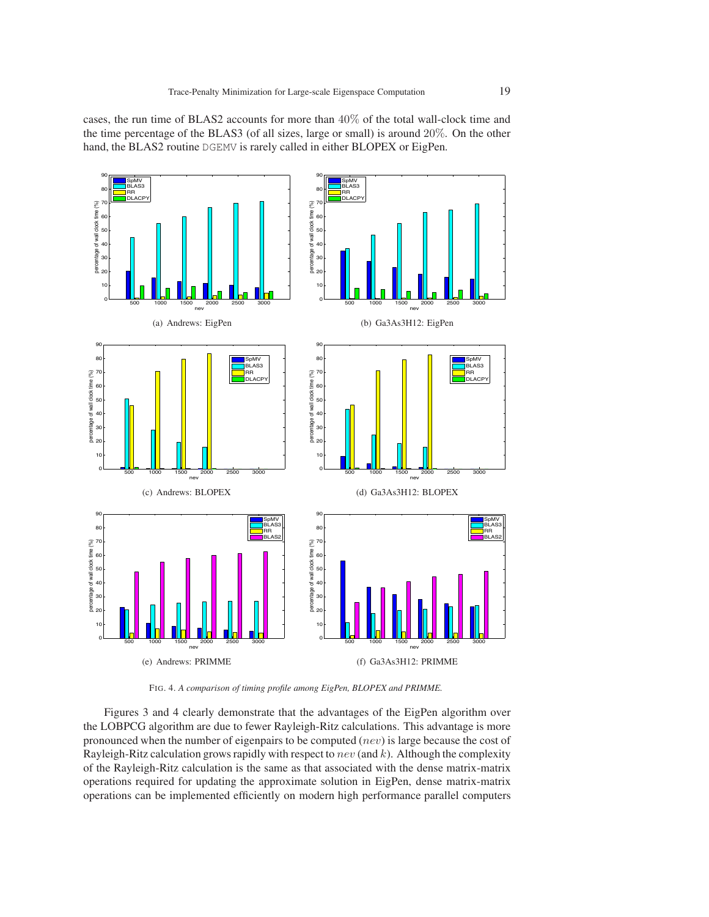cases, the run time of BLAS2 accounts for more than 40% of the total wall-clock time and the time percentage of the BLAS3 (of all sizes, large or small) is around 20%. On the other hand, the BLAS2 routine DGEMV is rarely called in either BLOPEX or EigPen.



FIG. 4. *A comparison of timing profile among EigPen, BLOPEX and PRIMME.*

Figures 3 and 4 clearly demonstrate that the advantages of the EigPen algorithm over the LOBPCG algorithm are due to fewer Rayleigh-Ritz calculations. This advantage is more pronounced when the number of eigenpairs to be computed (nev) is large because the cost of Rayleigh-Ritz calculation grows rapidly with respect to  $nev$  (and k). Although the complexity of the Rayleigh-Ritz calculation is the same as that associated with the dense matrix-matrix operations required for updating the approximate solution in EigPen, dense matrix-matrix operations can be implemented efficiently on modern high performance parallel computers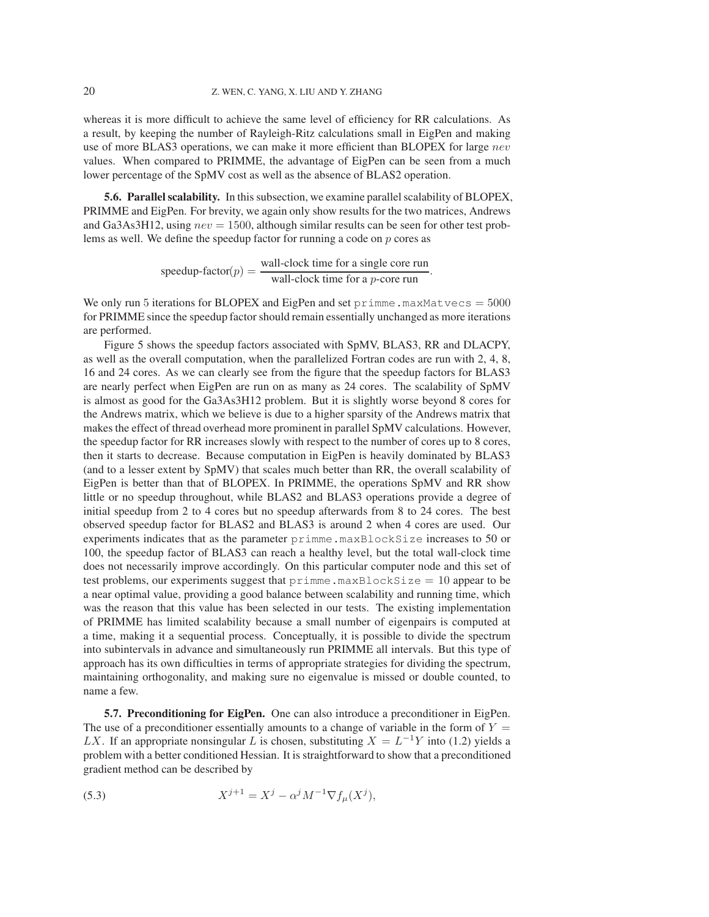whereas it is more difficult to achieve the same level of efficiency for RR calculations. As a result, by keeping the number of Rayleigh-Ritz calculations small in EigPen and making use of more BLAS3 operations, we can make it more efficient than BLOPEX for large nev values. When compared to PRIMME, the advantage of EigPen can be seen from a much lower percentage of the SpMV cost as well as the absence of BLAS2 operation.

5.6. Parallel scalability. In this subsection, we examine parallel scalability of BLOPEX, PRIMME and EigPen. For brevity, we again only show results for the two matrices, Andrews and Ga3As3H12, using  $nev = 1500$ , although similar results can be seen for other test problems as well. We define the speedup factor for running a code on p cores as

speedup-factor( $p$ ) =  $\frac{\text{wall-clock time for a single core run}}{\text{wall-clock time for a } p\text{-core run}}$ .

We only run 5 iterations for BLOPEX and EigPen and set  $\text{prime}$ . maxMatvecs = 5000 for PRIMME since the speedup factor should remain essentially unchanged as more iterations are performed.

Figure 5 shows the speedup factors associated with SpMV, BLAS3, RR and DLACPY, as well as the overall computation, when the parallelized Fortran codes are run with 2, 4, 8, 16 and 24 cores. As we can clearly see from the figure that the speedup factors for BLAS3 are nearly perfect when EigPen are run on as many as 24 cores. The scalability of SpMV is almost as good for the Ga3As3H12 problem. But it is slightly worse beyond 8 cores for the Andrews matrix, which we believe is due to a higher sparsity of the Andrews matrix that makes the effect of thread overhead more prominent in parallel SpMV calculations. However, the speedup factor for RR increases slowly with respect to the number of cores up to 8 cores, then it starts to decrease. Because computation in EigPen is heavily dominated by BLAS3 (and to a lesser extent by SpMV) that scales much better than RR, the overall scalability of EigPen is better than that of BLOPEX. In PRIMME, the operations SpMV and RR show little or no speedup throughout, while BLAS2 and BLAS3 operations provide a degree of initial speedup from 2 to 4 cores but no speedup afterwards from 8 to 24 cores. The best observed speedup factor for BLAS2 and BLAS3 is around 2 when 4 cores are used. Our experiments indicates that as the parameter primme.maxBlockSize increases to 50 or 100, the speedup factor of BLAS3 can reach a healthy level, but the total wall-clock time does not necessarily improve accordingly. On this particular computer node and this set of test problems, our experiments suggest that  $\text{prime}$ .  $\text{maxBlockSize} = 10$  appear to be a near optimal value, providing a good balance between scalability and running time, which was the reason that this value has been selected in our tests. The existing implementation of PRIMME has limited scalability because a small number of eigenpairs is computed at a time, making it a sequential process. Conceptually, it is possible to divide the spectrum into subintervals in advance and simultaneously run PRIMME all intervals. But this type of approach has its own difficulties in terms of appropriate strategies for dividing the spectrum, maintaining orthogonality, and making sure no eigenvalue is missed or double counted, to name a few.

5.7. Preconditioning for EigPen. One can also introduce a preconditioner in EigPen. The use of a preconditioner essentially amounts to a change of variable in the form of  $Y =$ LX. If an appropriate nonsingular L is chosen, substituting  $X = L^{-1}Y$  into (1.2) yields a problem with a better conditioned Hessian. It is straightforward to show that a preconditioned gradient method can be described by

(5.3) 
$$
X^{j+1} = X^j - \alpha^j M^{-1} \nabla f_\mu(X^j),
$$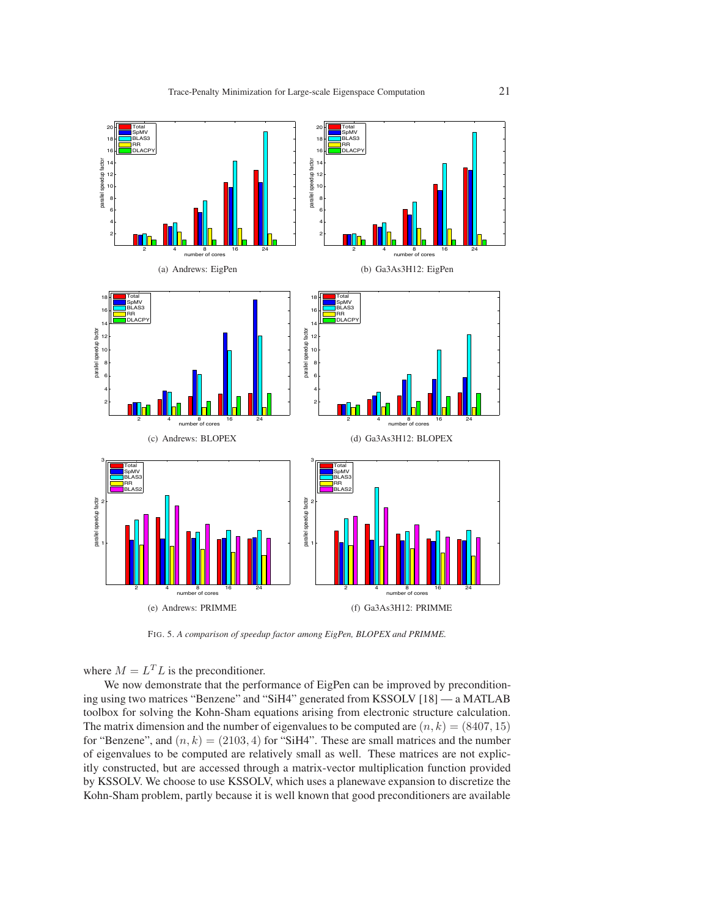

FIG. 5. *A comparison of speedup factor among EigPen, BLOPEX and PRIMME.*

where  $M = L<sup>T</sup>L$  is the preconditioner.

We now demonstrate that the performance of EigPen can be improved by preconditioning using two matrices "Benzene" and "SiH4" generated from KSSOLV [18] — a MATLAB toolbox for solving the Kohn-Sham equations arising from electronic structure calculation. The matrix dimension and the number of eigenvalues to be computed are  $(n, k) = (8407, 15)$ for "Benzene", and  $(n, k) = (2103, 4)$  for "SiH4". These are small matrices and the number of eigenvalues to be computed are relatively small as well. These matrices are not explicitly constructed, but are accessed through a matrix-vector multiplication function provided by KSSOLV. We choose to use KSSOLV, which uses a planewave expansion to discretize the Kohn-Sham problem, partly because it is well known that good preconditioners are available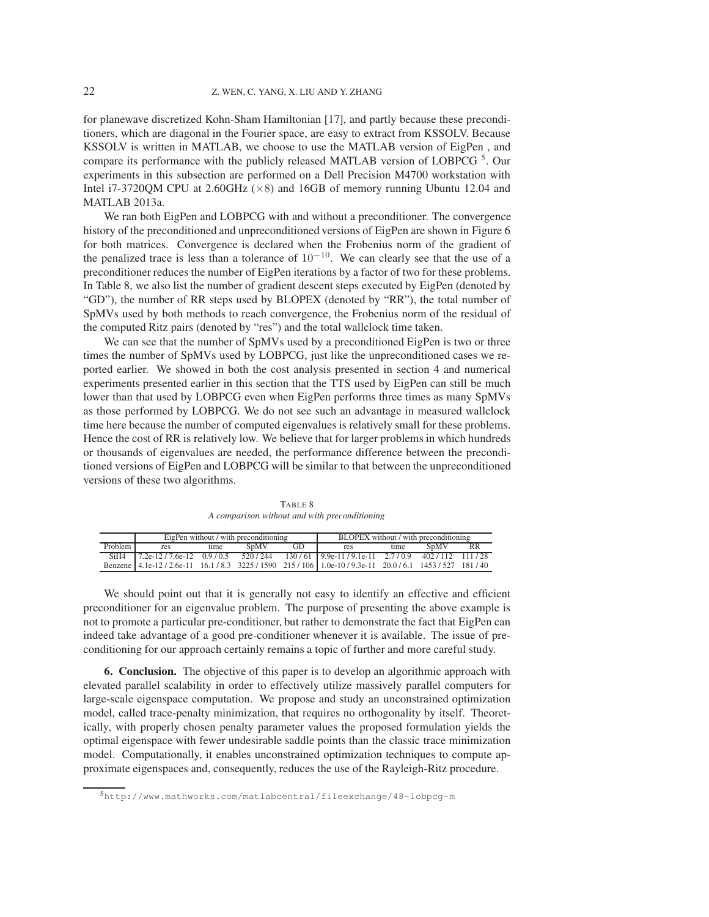for planewave discretized Kohn-Sham Hamiltonian [17], and partly because these preconditioners, which are diagonal in the Fourier space, are easy to extract from KSSOLV. Because KSSOLV is written in MATLAB, we choose to use the MATLAB version of EigPen , and compare its performance with the publicly released MATLAB version of LOBPCG<sup>5</sup>. Our experiments in this subsection are performed on a Dell Precision M4700 workstation with Intel i7-3720QM CPU at 2.60GHz  $(\times 8)$  and 16GB of memory running Ubuntu 12.04 and MATLAB 2013a.

We ran both EigPen and LOBPCG with and without a preconditioner. The convergence history of the preconditioned and unpreconditioned versions of EigPen are shown in Figure 6 for both matrices. Convergence is declared when the Frobenius norm of the gradient of the penalized trace is less than a tolerance of  $10^{-10}$ . We can clearly see that the use of a preconditioner reduces the number of EigPen iterations by a factor of two for these problems. In Table 8, we also list the number of gradient descent steps executed by EigPen (denoted by "GD"), the number of RR steps used by BLOPEX (denoted by "RR"), the total number of SpMVs used by both methods to reach convergence, the Frobenius norm of the residual of the computed Ritz pairs (denoted by "res") and the total wallclock time taken.

We can see that the number of SpMVs used by a preconditioned EigPen is two or three times the number of SpMVs used by LOBPCG, just like the unpreconditioned cases we reported earlier. We showed in both the cost analysis presented in section 4 and numerical experiments presented earlier in this section that the TTS used by EigPen can still be much lower than that used by LOBPCG even when EigPen performs three times as many SpMVs as those performed by LOBPCG. We do not see such an advantage in measured wallclock time here because the number of computed eigenvalues is relatively small for these problems. Hence the cost of RR is relatively low. We believe that for larger problems in which hundreds or thousands of eigenvalues are needed, the performance difference between the preconditioned versions of EigPen and LOBPCG will be similar to that between the unpreconditioned versions of these two algorithms.

TABLE 8 *A comparison without and with preconditioning*

|         | EigPen without / with preconditioning                                                                |             |     |      | BLOPEX without / with preconditioning |         |  |  |
|---------|------------------------------------------------------------------------------------------------------|-------------|-----|------|---------------------------------------|---------|--|--|
| Problem | res                                                                                                  | <b>SpMV</b> | res | time | SpMV                                  | $_{RR}$ |  |  |
|         | $\overline{3}$ iH4   7.2e-12/7.6e-12 0.9/0.5 520/244 130/61   9.9e-11/9.1e-11 2.7/0.9 402/112 111/28 |             |     |      |                                       |         |  |  |
|         | Benzene 4.1e-12/2.6e-11 16.1/8.3 3225/1590 215/106 1.0e-10/9.3e-11 20.0/6.1 1453/527 181/40          |             |     |      |                                       |         |  |  |

We should point out that it is generally not easy to identify an effective and efficient preconditioner for an eigenvalue problem. The purpose of presenting the above example is not to promote a particular pre-conditioner, but rather to demonstrate the fact that EigPen can indeed take advantage of a good pre-conditioner whenever it is available. The issue of preconditioning for our approach certainly remains a topic of further and more careful study.

6. Conclusion. The objective of this paper is to develop an algorithmic approach with elevated parallel scalability in order to effectively utilize massively parallel computers for large-scale eigenspace computation. We propose and study an unconstrained optimization model, called trace-penalty minimization, that requires no orthogonality by itself. Theoretically, with properly chosen penalty parameter values the proposed formulation yields the optimal eigenspace with fewer undesirable saddle points than the classic trace minimization model. Computationally, it enables unconstrained optimization techniques to compute approximate eigenspaces and, consequently, reduces the use of the Rayleigh-Ritz procedure.

<sup>5</sup>http://www.mathworks.com/matlabcentral/fileexchange/48-lobpcg-m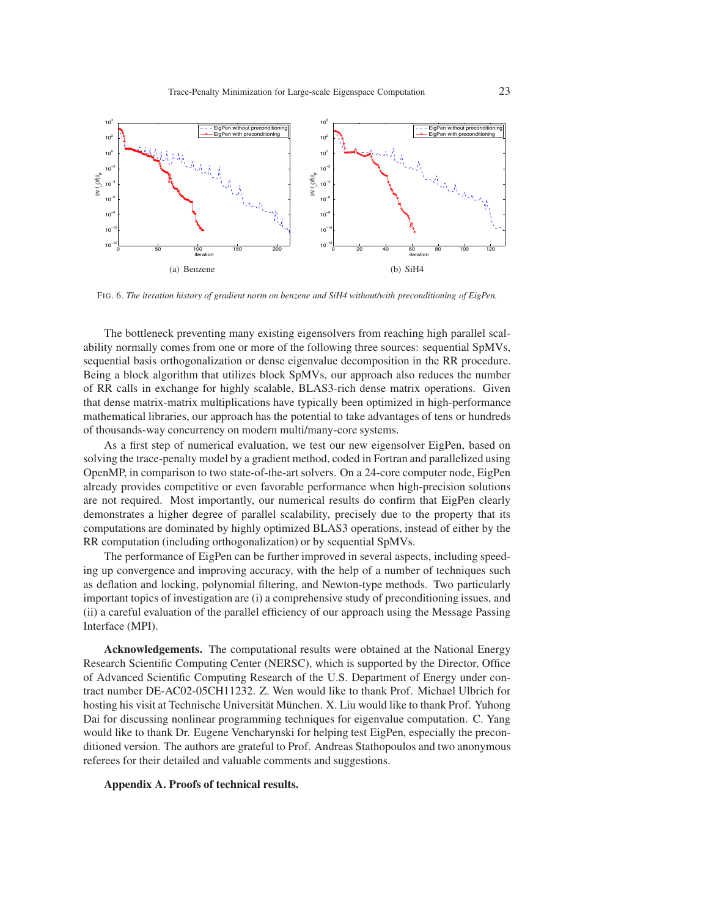

FIG. 6. *The iteration history of gradient norm on benzene and SiH4 without/with preconditioning of EigPen.*

The bottleneck preventing many existing eigensolvers from reaching high parallel scalability normally comes from one or more of the following three sources: sequential SpMVs, sequential basis orthogonalization or dense eigenvalue decomposition in the RR procedure. Being a block algorithm that utilizes block SpMVs, our approach also reduces the number of RR calls in exchange for highly scalable, BLAS3-rich dense matrix operations. Given that dense matrix-matrix multiplications have typically been optimized in high-performance mathematical libraries, our approach has the potential to take advantages of tens or hundreds of thousands-way concurrency on modern multi/many-core systems.

As a first step of numerical evaluation, we test our new eigensolver EigPen, based on solving the trace-penalty model by a gradient method, coded in Fortran and parallelized using OpenMP, in comparison to two state-of-the-art solvers. On a 24-core computer node, EigPen already provides competitive or even favorable performance when high-precision solutions are not required. Most importantly, our numerical results do confirm that EigPen clearly demonstrates a higher degree of parallel scalability, precisely due to the property that its computations are dominated by highly optimized BLAS3 operations, instead of either by the RR computation (including orthogonalization) or by sequential SpMVs.

The performance of EigPen can be further improved in several aspects, including speeding up convergence and improving accuracy, with the help of a number of techniques such as deflation and locking, polynomial filtering, and Newton-type methods. Two particularly important topics of investigation are (i) a comprehensive study of preconditioning issues, and (ii) a careful evaluation of the parallel efficiency of our approach using the Message Passing Interface (MPI).

Acknowledgements. The computational results were obtained at the National Energy Research Scientific Computing Center (NERSC), which is supported by the Director, Office of Advanced Scientific Computing Research of the U.S. Department of Energy under contract number DE-AC02-05CH11232. Z. Wen would like to thank Prof. Michael Ulbrich for hosting his visit at Technische Universität München. X. Liu would like to thank Prof. Yuhong Dai for discussing nonlinear programming techniques for eigenvalue computation. C. Yang would like to thank Dr. Eugene Vencharynski for helping test EigPen, especially the preconditioned version. The authors are grateful to Prof. Andreas Stathopoulos and two anonymous referees for their detailed and valuable comments and suggestions.

### Appendix A. Proofs of technical results.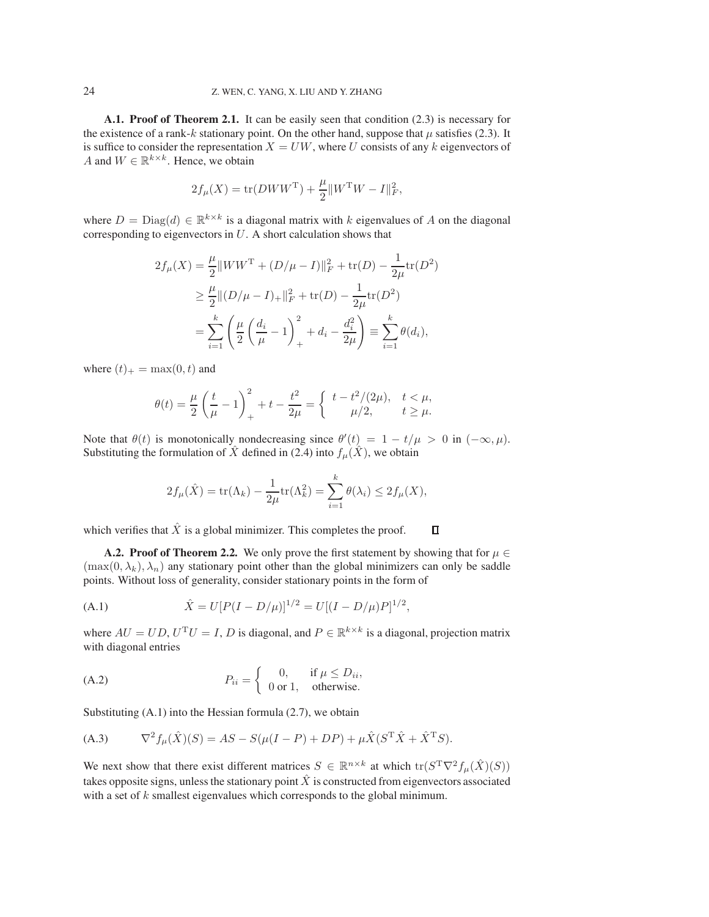A.1. Proof of Theorem 2.1. It can be easily seen that condition (2.3) is necessary for the existence of a rank-k stationary point. On the other hand, suppose that  $\mu$  satisfies (2.3). It is suffice to consider the representation  $X = UW$ , where U consists of any k eigenvectors of A and  $W \in \mathbb{R}^{k \times k}$ . Hence, we obtain

$$
2f_{\mu}(X) = \text{tr}(DWW^{\text{T}}) + \frac{\mu}{2} ||W^{\text{T}}W - I||_F^2,
$$

where  $D = Diag(d) \in \mathbb{R}^{k \times k}$  is a diagonal matrix with k eigenvalues of A on the diagonal corresponding to eigenvectors in  $U$ . A short calculation shows that

$$
2f_{\mu}(X) = \frac{\mu}{2} ||WW^{\mathrm{T}} + (D/\mu - I)||_F^2 + \text{tr}(D) - \frac{1}{2\mu} \text{tr}(D^2)
$$
  
\n
$$
\geq \frac{\mu}{2} ||(D/\mu - I)_+||_F^2 + \text{tr}(D) - \frac{1}{2\mu} \text{tr}(D^2)
$$
  
\n
$$
= \sum_{i=1}^k \left( \frac{\mu}{2} \left( \frac{d_i}{\mu} - 1 \right)_+^2 + d_i - \frac{d_i^2}{2\mu} \right) \equiv \sum_{i=1}^k \theta(d_i),
$$

where  $(t)_{+} = \max(0, t)$  and

$$
\theta(t) = \frac{\mu}{2} \left( \frac{t}{\mu} - 1 \right)_+^2 + t - \frac{t^2}{2\mu} = \begin{cases} t - \frac{t^2}{2\mu}, & t < \mu, \\ \mu/2, & t \ge \mu. \end{cases}
$$

Note that  $\theta(t)$  is monotonically nondecreasing since  $\theta'(t) = 1 - t/\mu > 0$  in  $(-\infty, \mu)$ . Substituting the formulation of  $\hat{X}$  defined in (2.4) into  $f_{\mu}(\hat{X})$ , we obtain

$$
2f_{\mu}(\hat{X}) = \text{tr}(\Lambda_k) - \frac{1}{2\mu} \text{tr}(\Lambda_k^2) = \sum_{i=1}^k \theta(\lambda_i) \le 2f_{\mu}(X),
$$

which verifies that  $\hat{X}$  is a global minimizer. This completes the proof.  $\Box$ 

**A.2. Proof of Theorem 2.2.** We only prove the first statement by showing that for  $\mu \in$  $(\max(0, \lambda_k), \lambda_n)$  any stationary point other than the global minimizers can only be saddle points. Without loss of generality, consider stationary points in the form of

(A.1) 
$$
\hat{X} = U[P(I - D/\mu)]^{1/2} = U[(I - D/\mu)P]^{1/2},
$$

where  $AU = UD$ ,  $U<sup>T</sup>U = I$ , D is diagonal, and  $P \in \mathbb{R}^{k \times k}$  is a diagonal, projection matrix with diagonal entries

(A.2) 
$$
P_{ii} = \begin{cases} 0, & \text{if } \mu \leq D_{ii}, \\ 0 \text{ or } 1, & \text{otherwise.} \end{cases}
$$

Substituting  $(A.1)$  into the Hessian formula  $(2.7)$ , we obtain

(A.3) 
$$
\nabla^2 f_\mu(\hat{X})(S) = AS - S(\mu(I - P) + DP) + \mu \hat{X}(S^T \hat{X} + \hat{X}^T S).
$$

We next show that there exist different matrices  $S \in \mathbb{R}^{n \times k}$  at which  $tr(S^T \nabla^2 f_u(\hat{X})(S))$ takes opposite signs, unless the stationary point  $\ddot{X}$  is constructed from eigenvectors associated with a set of  $k$  smallest eigenvalues which corresponds to the global minimum.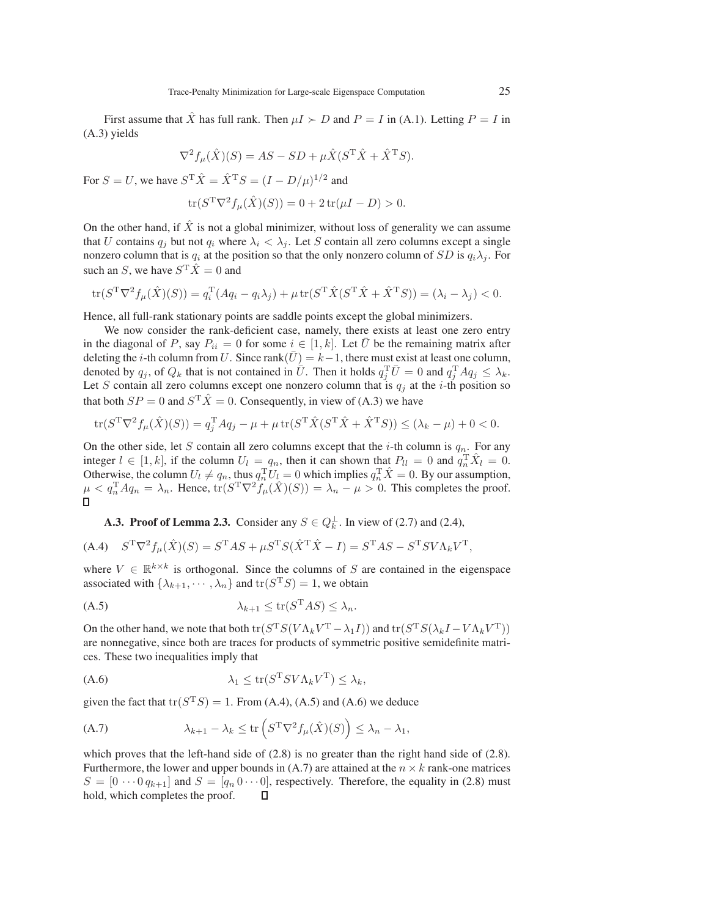First assume that  $\hat{X}$  has full rank. Then  $\mu I \succ D$  and  $P = I$  in (A.1). Letting  $P = I$  in (A.3) yields

$$
\nabla^2 f_\mu(\hat{X})(S) = AS - SD + \mu \hat{X}(S^{\mathrm{T}} \hat{X} + \hat{X}^{\mathrm{T}} S).
$$

For  $S = U$ , we have  $S^T \hat{X} = \hat{X}^T S = (I - D/u)^{1/2}$  and

$$
\text{tr}(S^{\text{T}} \nabla^2 f_{\mu}(\hat{X})(S)) = 0 + 2 \text{tr}(\mu I - D) > 0.
$$

On the other hand, if  $\hat{X}$  is not a global minimizer, without loss of generality we can assume that U contains  $q_i$  but not  $q_i$  where  $\lambda_i < \lambda_j$ . Let S contain all zero columns except a single nonzero column that is  $q_i$  at the position so that the only nonzero column of  $SD$  is  $q_i\lambda_j$ . For such an S, we have  $S^T \hat{X} = 0$  and

$$
\operatorname{tr}(S^{\mathrm{T}}\nabla^2 f_\mu(\hat{X})(S)) = q_i^{\mathrm{T}}(Aq_i - q_i\lambda_j) + \mu \operatorname{tr}(S^{\mathrm{T}}\hat{X}(S^{\mathrm{T}}\hat{X} + \hat{X}^{\mathrm{T}}S)) = (\lambda_i - \lambda_j) < 0.
$$

Hence, all full-rank stationary points are saddle points except the global minimizers.

We now consider the rank-deficient case, namely, there exists at least one zero entry in the diagonal of P, say  $P_{ii} = 0$  for some  $i \in [1, k]$ . Let U be the remaining matrix after deleting the *i*-th column from U. Since rank( $\overline{U}$ ) = k−1, there must exist at least one column, denoted by  $q_j$ , of  $Q_k$  that is not contained in  $\overline{U}$ . Then it holds  $q_j^{\mathrm{T}}\overline{U} = 0$  and  $q_j^{\mathrm{T}} A q_j \leq \lambda_k$ . Let S contain all zero columns except one nonzero column that is  $q_i$  at the *i*-th position so that both  $SP = 0$  and  $S^T \hat{X} = 0$ . Consequently, in view of (A.3) we have

$$
\text{tr}(S^T \nabla^2 f_\mu(\hat{X})(S)) = q_j^T A q_j - \mu + \mu \, \text{tr}(S^T \hat{X} (S^T \hat{X} + \hat{X}^T S)) \le (\lambda_k - \mu) + 0 < 0.
$$

On the other side, let S contain all zero columns except that the *i*-th column is  $q_n$ . For any integer  $l \in [1, k]$ , if the column  $U_l = q_n$ , then it can shown that  $P_{ll} = 0$  and  $q_n^T \hat{X}_l = 0$ . Otherwise, the column  $U_l \neq q_n$ , thus  $q_n^T U_l = 0$  which implies  $q_n^T \hat{X} = 0$ . By our assumption,  $\mu < q_n^{\rm T} A q_n = \lambda_n$ . Hence,  $\text{tr}(S^{\rm T} \nabla^2 f_\mu(\hat{X})(S)) = \lambda_n - \mu > 0$ . This completes the proof.  $\Box$ 

**A.3. Proof of Lemma 2.3.** Consider any  $S \in Q_k^{\perp}$ . In view of (2.7) and (2.4),

$$
(A.4) \quad S^{\mathrm{T}}\nabla^{2} f_{\mu}(\hat{X})(S) = S^{\mathrm{T}}AS + \mu S^{\mathrm{T}}S(\hat{X}^{\mathrm{T}}\hat{X} - I) = S^{\mathrm{T}}AS - S^{\mathrm{T}}SV\Lambda_{k}V^{\mathrm{T}},
$$

where  $V \in \mathbb{R}^{k \times k}$  is orthogonal. Since the columns of S are contained in the eigenspace associated with  $\{\lambda_{k+1}, \dots, \lambda_n\}$  and  $\text{tr}(S^T S)=1$ , we obtain

$$
\lambda_{k+1} \le \text{tr}(S^{\text{T}}AS) \le \lambda_n.
$$

On the other hand, we note that both  $tr(S^{T}S(V\Lambda_{k}V^{T}-\lambda_{1}I))$  and  $tr(S^{T}S(\lambda_{k}I-V\Lambda_{k}V^{T}))$ are nonnegative, since both are traces for products of symmetric positive semidefinite matrices. These two inequalities imply that

$$
\lambda_1 \le \text{tr}(S^{\text{T}}SV\Lambda_k V^{\text{T}}) \le \lambda_k,
$$

given the fact that  $tr(S^{T}S)=1$ . From (A.4), (A.5) and (A.6) we deduce

(A.7) 
$$
\lambda_{k+1} - \lambda_k \leq \text{tr}\left(S^T \nabla^2 f_\mu(\hat{X})(S)\right) \leq \lambda_n - \lambda_1,
$$

which proves that the left-hand side of  $(2.8)$  is no greater than the right hand side of  $(2.8)$ . Furthermore, the lower and upper bounds in  $(A.7)$  are attained at the  $n \times k$  rank-one matrices  $S = [0 \cdots 0 q_{k+1}]$  and  $S = [q_n 0 \cdots 0]$ , respectively. Therefore, the equality in (2.8) must hold, which completes the proof.Л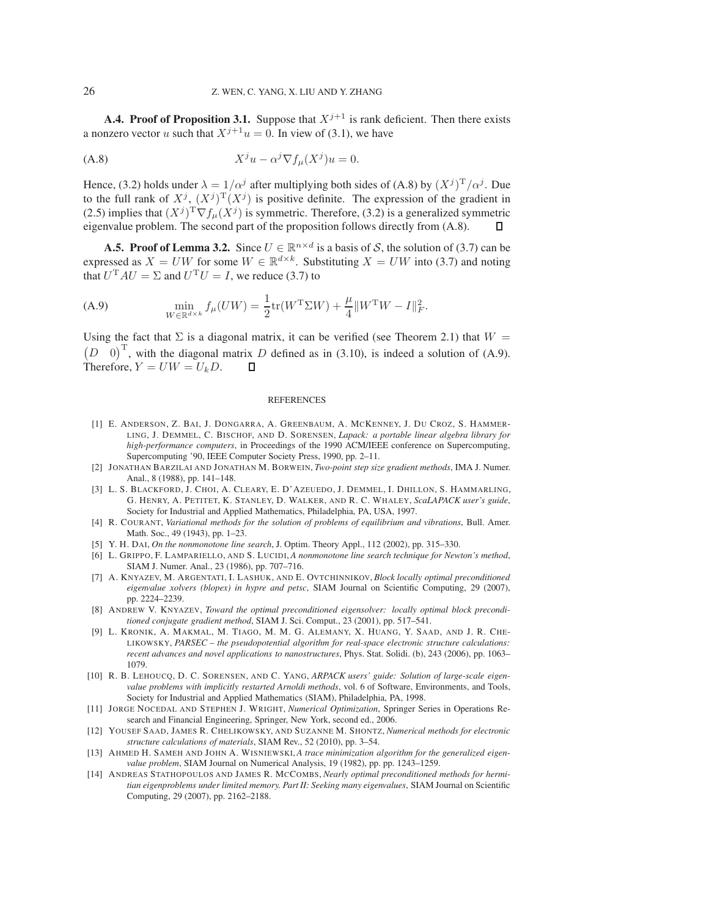A.4. Proof of Proposition 3.1. Suppose that  $X^{j+1}$  is rank deficient. Then there exists a nonzero vector u such that  $X^{j+1}u = 0$ . In view of (3.1), we have

$$
(A.8) \t\t X^j u - \alpha^j \nabla f_\mu(X^j) u = 0.
$$

Hence, (3.2) holds under  $\lambda = 1/\alpha^{j}$  after multiplying both sides of (A.8) by  $(X^{j})^{\mathrm{T}}/\alpha^{j}$ . Due to the full rank of  $X^j$ ,  $(X^j)$ <sup>T</sup> $(X^j)$  is positive definite. The expression of the gradient in (2.5) implies that  $(X^{j})^{\mathrm{T}}\nabla f_{\mu}(X^{j})$  is symmetric. Therefore, (3.2) is a generalized symmetric eigenvalue problem. The second part of the proposition follows directly from (A.8).  $\Box$ 

**A.5. Proof of Lemma 3.2.** Since  $U \in \mathbb{R}^{n \times d}$  is a basis of S, the solution of (3.7) can be expressed as  $X = UW$  for some  $W \in \mathbb{R}^{d \times k}$ . Substituting  $X = UW$  into (3.7) and noting that  $U^{T}AU = \Sigma$  and  $U^{T}U = I$ , we reduce (3.7) to

(A.9) 
$$
\min_{W \in \mathbb{R}^{d \times k}} f_{\mu}(UW) = \frac{1}{2} \text{tr}(W^{\text{T}} \Sigma W) + \frac{\mu}{4} ||W^{\text{T}} W - I||_F^2.
$$

Using the fact that  $\Sigma$  is a diagonal matrix, it can be verified (see Theorem 2.1) that  $W =$  $(D \ 0)^T$ , with the diagonal matrix D defined as in (3.10), is indeed a solution of (A.9). Therefore,  $Y = UW = U<sub>k</sub>D$ . П

#### **REFERENCES**

- [1] E. ANDERSON, Z. BAI, J. DONGARRA, A. GREENBAUM, A. MCKENNEY, J. DU CROZ, S. HAMMER-LING, J. DEMMEL, C. BISCHOF, AND D. SORENSEN, *Lapack: a portable linear algebra library for high-performance computers*, in Proceedings of the 1990 ACM/IEEE conference on Supercomputing, Supercomputing '90, IEEE Computer Society Press, 1990, pp. 2–11.
- [2] JONATHAN BARZILAI AND JONATHAN M. BORWEIN, *Two-point step size gradient methods*, IMA J. Numer. Anal., 8 (1988), pp. 141–148.
- [3] L. S. BLACKFORD, J. CHOI, A. CLEARY, E. D'AZEUEDO, J. DEMMEL, I. DHILLON, S. HAMMARLING, G. HENRY, A. PETITET, K. STANLEY, D. WALKER, AND R. C. WHALEY, *ScaLAPACK user's guide*, Society for Industrial and Applied Mathematics, Philadelphia, PA, USA, 1997.
- [4] R. COURANT, *Variational methods for the solution of problems of equilibrium and vibrations*, Bull. Amer. Math. Soc., 49 (1943), pp. 1–23.
- [5] Y. H. DAI, *On the nonmonotone line search*, J. Optim. Theory Appl., 112 (2002), pp. 315–330.
- [6] L. GRIPPO, F. LAMPARIELLO, AND S. LUCIDI, *A nonmonotone line search technique for Newton's method*, SIAM J. Numer. Anal., 23 (1986), pp. 707–716.
- [7] A. KNYAZEV, M. ARGENTATI, I. LASHUK, AND E. OVTCHINNIKOV, *Block locally optimal preconditioned eigenvalue xolvers (blopex) in hypre and petsc*, SIAM Journal on Scientific Computing, 29 (2007), pp. 2224–2239.
- [8] ANDREW V. KNYAZEV, *Toward the optimal preconditioned eigensolver: locally optimal block preconditioned conjugate gradient method*, SIAM J. Sci. Comput., 23 (2001), pp. 517–541.
- [9] L. KRONIK, A. MAKMAL, M. TIAGO, M. M. G. ALEMANY, X. HUANG, Y. SAAD, AND J. R. CHE-LIKOWSKY, *PARSEC – the pseudopotential algorithm for real-space electronic structure calculations: recent advances and novel applications to nanostructures*, Phys. Stat. Solidi. (b), 243 (2006), pp. 1063– 1079.
- [10] R. B. LEHOUCQ, D. C. SORENSEN, AND C. YANG, *ARPACK users' guide: Solution of large-scale eigenvalue problems with implicitly restarted Arnoldi methods*, vol. 6 of Software, Environments, and Tools, Society for Industrial and Applied Mathematics (SIAM), Philadelphia, PA, 1998.
- [11] JORGE NOCEDAL AND STEPHEN J. WRIGHT, *Numerical Optimization*, Springer Series in Operations Research and Financial Engineering, Springer, New York, second ed., 2006.
- [12] YOUSEF SAAD, JAMES R. CHELIKOWSKY, AND SUZANNE M. SHONTZ, *Numerical methods for electronic structure calculations of materials*, SIAM Rev., 52 (2010), pp. 3–54.
- [13] AHMED H. SAMEH AND JOHN A. WISNIEWSKI, *A trace minimization algorithm for the generalized eigenvalue problem*, SIAM Journal on Numerical Analysis, 19 (1982), pp. pp. 1243–1259.
- [14] ANDREAS STATHOPOULOS AND JAMES R. MCCOMBS, *Nearly optimal preconditioned methods for hermitian eigenproblems under limited memory. Part II: Seeking many eigenvalues*, SIAM Journal on Scientific Computing, 29 (2007), pp. 2162–2188.